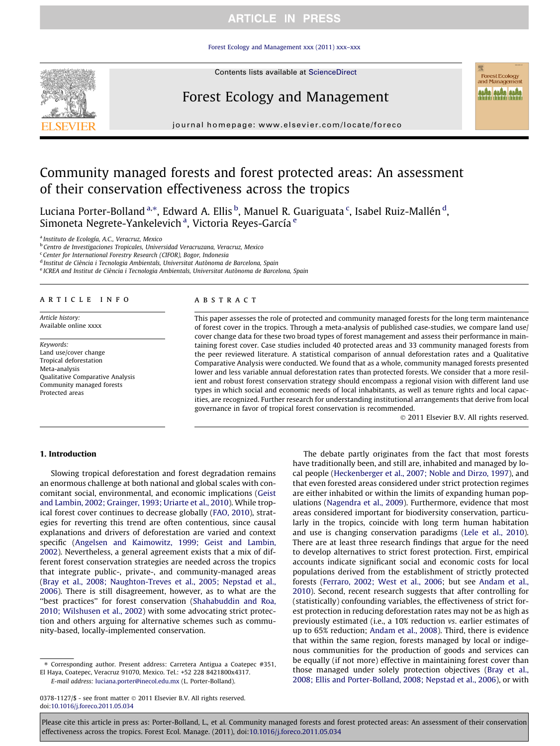#### [Forest Ecology and Management xxx \(2011\) xxx–xxx](http://dx.doi.org/10.1016/j.foreco.2011.05.034)



Contents lists available at [ScienceDirect](http://www.sciencedirect.com/science/journal/03781127)

# Forest Ecology and Management



journal homepage: [www.elsevier.com/locate/foreco](http://www.elsevier.com/locate/foreco)

# Community managed forests and forest protected areas: An assessment of their conservation effectiveness across the tropics

Luciana Porter-Bolland <sup>a,</sup>\*, Edward A. Ellis <sup>b</sup>, Manuel R. Guariguata <sup>c</sup>, Isabel Ruiz-Mallén <sup>d</sup>, Simoneta Negrete-Yankelevich <sup>a</sup>, Victoria Reyes-García <sup>e</sup>

<sup>a</sup> Instituto de Ecología, A.C., Veracruz, Mexico

<sup>b</sup> Centro de Investigaciones Tropicales, Universidad Veracruzana, Veracruz, Mexico

<sup>c</sup> Center for International Forestry Research (CIFOR), Bogor, Indonesia

<sup>d</sup> Institut de Ciència i Tecnologia Ambientals, Universitat Autònoma de Barcelona, Spain

e ICREA and Institut de Ciència i Tecnologia Ambientals, Universitat Autònoma de Barcelona, Spain

#### article info

Article history: Available online xxxx

Keywords: Land use/cover change Tropical deforestation Meta-analysis Qualitative Comparative Analysis Community managed forests Protected areas

#### **ABSTRACT**

This paper assesses the role of protected and community managed forests for the long term maintenance of forest cover in the tropics. Through a meta-analysis of published case-studies, we compare land use/ cover change data for these two broad types of forest management and assess their performance in maintaining forest cover. Case studies included 40 protected areas and 33 community managed forests from the peer reviewed literature. A statistical comparison of annual deforestation rates and a Qualitative Comparative Analysis were conducted. We found that as a whole, community managed forests presented lower and less variable annual deforestation rates than protected forests. We consider that a more resilient and robust forest conservation strategy should encompass a regional vision with different land use types in which social and economic needs of local inhabitants, as well as tenure rights and local capacities, are recognized. Further research for understanding institutional arrangements that derive from local governance in favor of tropical forest conservation is recommended.

- 2011 Elsevier B.V. All rights reserved.

#### 1. Introduction

Slowing tropical deforestation and forest degradation remains an enormous challenge at both national and global scales with concomitant social, environmental, and economic implications [\(Geist](#page-10-0) [and Lambin, 2002; Grainger, 1993; Uriarte et al., 2010](#page-10-0)). While tropical forest cover continues to decrease globally ([FAO, 2010](#page-10-0)), strategies for reverting this trend are often contentious, since causal explanations and drivers of deforestation are varied and context specific ([Angelsen and Kaimowitz, 1999; Geist and Lambin,](#page-9-0) [2002](#page-9-0)). Nevertheless, a general agreement exists that a mix of different forest conservation strategies are needed across the tropics that integrate public-, private-, and community-managed areas ([Bray et al., 2008; Naughton-Treves et al., 2005; Nepstad et al.,](#page-10-0) [2006](#page-10-0)). There is still disagreement, however, as to what are the ''best practices'' for forest conservation ([Shahabuddin and Roa,](#page-11-0) [2010; Wilshusen et al., 2002\)](#page-11-0) with some advocating strict protection and others arguing for alternative schemes such as community-based, locally-implemented conservation.

The debate partly originates from the fact that most forests have traditionally been, and still are, inhabited and managed by local people [\(Heckenberger et al., 2007; Noble and Dirzo, 1997](#page-10-0)), and that even forested areas considered under strict protection regimes are either inhabited or within the limits of expanding human populations ([Nagendra et al., 2009](#page-10-0)). Furthermore, evidence that most areas considered important for biodiversity conservation, particularly in the tropics, coincide with long term human habitation and use is changing conservation paradigms ([Lele et al., 2010\)](#page-10-0). There are at least three research findings that argue for the need to develop alternatives to strict forest protection. First, empirical accounts indicate significant social and economic costs for local populations derived from the establishment of strictly protected forests ([Ferraro, 2002; West et al., 2006](#page-10-0); but see [Andam et al.,](#page-9-0) [2010](#page-9-0)). Second, recent research suggests that after controlling for (statistically) confounding variables, the effectiveness of strict forest protection in reducing deforestation rates may not be as high as previously estimated (i.e., a 10% reduction vs. earlier estimates of up to 65% reduction; [Andam et al., 2008](#page-9-0)). Third, there is evidence that within the same region, forests managed by local or indigenous communities for the production of goods and services can be equally (if not more) effective in maintaining forest cover than those managed under solely protection objectives [\(Bray et al.,](#page-10-0) [2008; Ellis and Porter-Bolland, 2008; Nepstad et al., 2006\)](#page-10-0), or with

<sup>⇑</sup> Corresponding author. Present address: Carretera Antigua a Coatepec #351, El Haya, Coatepec, Veracruz 91070, Mexico. Tel.: +52 228 8421800x4317. E-mail address: [luciana.porter@inecol.edu.mx](mailto:luciana.porter@inecol.edu.mx) (L. Porter-Bolland).

<sup>0378-1127/\$ -</sup> see front matter © 2011 Elsevier B.V. All rights reserved. doi[:10.1016/j.foreco.2011.05.034](http://dx.doi.org/10.1016/j.foreco.2011.05.034)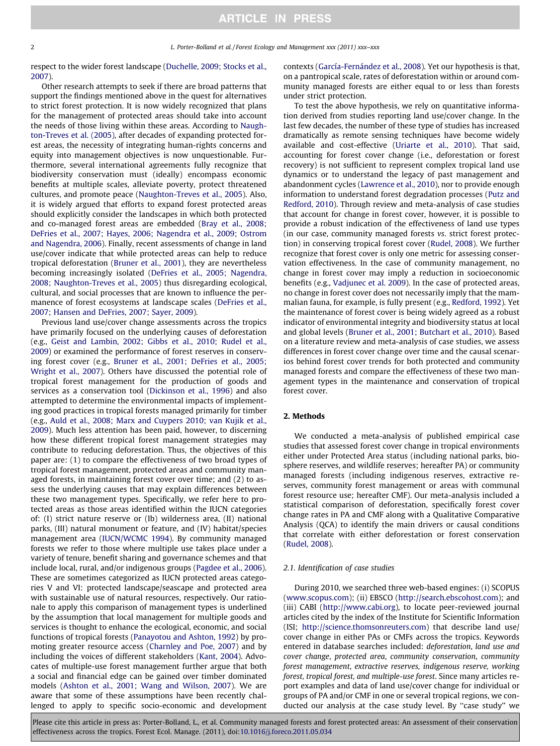respect to the wider forest landscape ([Duchelle, 2009; Stocks et al.,](#page-10-0) [2007\)](#page-10-0).

Other research attempts to seek if there are broad patterns that support the findings mentioned above in the quest for alternatives to strict forest protection. It is now widely recognized that plans for the management of protected areas should take into account the needs of those living within these areas. According to [Naugh](#page-10-0)[ton-Treves et al. \(2005\),](#page-10-0) after decades of expanding protected forest areas, the necessity of integrating human-rights concerns and equity into management objectives is now unquestionable. Furthermore, several international agreements fully recognize that biodiversity conservation must (ideally) encompass economic benefits at multiple scales, alleviate poverty, protect threatened cultures, and promote peace ([Naughton-Treves et al., 2005](#page-10-0)). Also, it is widely argued that efforts to expand forest protected areas should explicitly consider the landscapes in which both protected and co-managed forest areas are embedded [\(Bray et al., 2008;](#page-10-0) [DeFries et al., 2007; Hayes, 2006; Nagendra et al., 2009; Ostrom](#page-10-0) [and Nagendra, 2006](#page-10-0)). Finally, recent assessments of change in land use/cover indicate that while protected areas can help to reduce tropical deforestation [\(Bruner et al., 2001](#page-10-0)), they are nevertheless becoming increasingly isolated ([DeFries et al., 2005; Nagendra,](#page-10-0) [2008; Naughton-Treves et al., 2005\)](#page-10-0) thus disregarding ecological, cultural, and social processes that are known to influence the permanence of forest ecosystems at landscape scales [\(DeFries et al.,](#page-10-0) [2007; Hansen and DeFries, 2007; Sayer, 2009\)](#page-10-0).

Previous land use/cover change assessments across the tropics have primarily focused on the underlying causes of deforestation (e.g., [Geist and Lambin, 2002; Gibbs et al., 2010; Rudel et al.,](#page-10-0) [2009\)](#page-10-0) or examined the performance of forest reserves in conserving forest cover (e.g., [Bruner et al., 2001; DeFries et al., 2005;](#page-10-0) [Wright et al., 2007\)](#page-10-0). Others have discussed the potential role of tropical forest management for the production of goods and services as a conservation tool [\(Dickinson et al., 1996](#page-10-0)) and also attempted to determine the environmental impacts of implementing good practices in tropical forests managed primarily for timber (e.g., [Auld et al., 2008; Marx and Cuypers 2010; van Kujik et al.,](#page-9-0) [2009\)](#page-9-0). Much less attention has been paid, however, to discerning how these different tropical forest management strategies may contribute to reducing deforestation. Thus, the objectives of this paper are: (1) to compare the effectiveness of two broad types of tropical forest management, protected areas and community managed forests, in maintaining forest cover over time; and (2) to assess the underlying causes that may explain differences between these two management types. Specifically, we refer here to protected areas as those areas identified within the IUCN categories of: (I) strict nature reserve or (Ib) wilderness area, (II) national parks, (III) natural monument or feature, and (IV) habitat/species management area ([IUCN/WCMC 1994\)](#page-10-0). By community managed forests we refer to those where multiple use takes place under a variety of tenure, benefit sharing and governance schemes and that include local, rural, and/or indigenous groups ([Pagdee et al., 2006\)](#page-11-0). These are sometimes categorized as IUCN protected areas categories V and VI: protected landscape/seascape and protected area with sustainable use of natural resources, respectively. Our rationale to apply this comparison of management types is underlined by the assumption that local management for multiple goods and services is thought to enhance the ecological, economic, and social functions of tropical forests [\(Panayotou and Ashton, 1992\)](#page-11-0) by promoting greater resource access ([Charnley and Poe, 2007\)](#page-10-0) and by including the voices of different stakeholders [\(Kant, 2004](#page-10-0)). Advocates of multiple-use forest management further argue that both a social and financial edge can be gained over timber dominated models [\(Ashton et al., 2001; Wang and Wilson, 2007\)](#page-9-0). We are aware that some of these assumptions have been recently challenged to apply to specific socio-economic and development contexts ([García-Fernández et al., 2008](#page-10-0)). Yet our hypothesis is that, on a pantropical scale, rates of deforestation within or around community managed forests are either equal to or less than forests under strict protection.

To test the above hypothesis, we rely on quantitative information derived from studies reporting land use/cover change. In the last few decades, the number of these type of studies has increased dramatically as remote sensing techniques have become widely available and cost-effective ([Uriarte et al., 2010\)](#page-11-0). That said, accounting for forest cover change (i.e., deforestation or forest recovery) is not sufficient to represent complex tropical land use dynamics or to understand the legacy of past management and abandonment cycles ([Lawrence et al., 2010\)](#page-10-0), nor to provide enough information to understand forest degradation processes [\(Putz and](#page-11-0) [Redford, 2010\)](#page-11-0). Through review and meta-analysis of case studies that account for change in forest cover, however, it is possible to provide a robust indication of the effectiveness of land use types (in our case, community managed forests vs. strict forest protection) in conserving tropical forest cover [\(Rudel, 2008](#page-11-0)). We further recognize that forest cover is only one metric for assessing conservation effectiveness. In the case of community management, no change in forest cover may imply a reduction in socioeconomic benefits (e.g., [Vadjunec et al. 2009\)](#page-11-0). In the case of protected areas, no change in forest cover does not necessarily imply that the mammalian fauna, for example, is fully present (e.g., [Redford, 1992](#page-11-0)). Yet the maintenance of forest cover is being widely agreed as a robust indicator of environmental integrity and biodiversity status at local and global levels ([Bruner et al., 2001; Butchart et al., 2010](#page-10-0)). Based on a literature review and meta-analysis of case studies, we assess differences in forest cover change over time and the causal scenarios behind forest cover trends for both protected and community managed forests and compare the effectiveness of these two management types in the maintenance and conservation of tropical forest cover.

#### 2. Methods

We conducted a meta-analysis of published empirical case studies that assessed forest cover change in tropical environments either under Protected Area status (including national parks, biosphere reserves, and wildlife reserves; hereafter PA) or community managed forests (including indigenous reserves, extractive reserves, community forest management or areas with communal forest resource use; hereafter CMF). Our meta-analysis included a statistical comparison of deforestation, specifically forest cover change rates in PA and CMF along with a Qualitative Comparative Analysis (QCA) to identify the main drivers or causal conditions that correlate with either deforestation or forest conservation ([Rudel, 2008\)](#page-11-0).

#### 2.1. Identification of case studies

During 2010, we searched three web-based engines: (i) SCOPUS ([www.scopus.com](http://www.scopus.com)); (ii) EBSCO (<http://search.ebscohost.com>); and (iii) CABI ([http://www.cabi.org\)](http://www.cabi.org), to locate peer-reviewed journal articles cited by the index of the Institute for Scientific Information (ISI; <http://science.thomsonreuters.com>) that describe land use/ cover change in either PAs or CMFs across the tropics. Keywords entered in database searches included: deforestation, land use and cover change, protected area, community conservation, community forest management, extractive reserves, indigenous reserve, working forest, tropical forest, and multiple-use forest. Since many articles report examples and data of land use/cover change for individual or groups of PA and/or CMF in one or several tropical regions, we conducted our analysis at the case study level. By ''case study'' we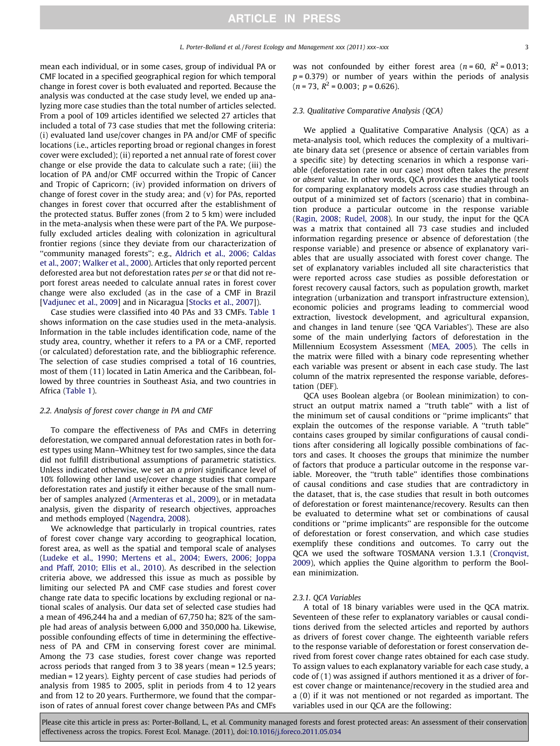mean each individual, or in some cases, group of individual PA or CMF located in a specified geographical region for which temporal change in forest cover is both evaluated and reported. Because the analysis was conducted at the case study level, we ended up analyzing more case studies than the total number of articles selected. From a pool of 109 articles identified we selected 27 articles that included a total of 73 case studies that met the following criteria: (i) evaluated land use/cover changes in PA and/or CMF of specific locations (i.e., articles reporting broad or regional changes in forest cover were excluded); (ii) reported a net annual rate of forest cover change or else provide the data to calculate such a rate; (iii) the location of PA and/or CMF occurred within the Tropic of Cancer and Tropic of Capricorn; (iv) provided information on drivers of change of forest cover in the study area; and (v) for PAs, reported changes in forest cover that occurred after the establishment of the protected status. Buffer zones (from 2 to 5 km) were included in the meta-analysis when these were part of the PA. We purposefully excluded articles dealing with colonization in agricultural frontier regions (since they deviate from our characterization of "community managed forests"; e.g., [Aldrich et al., 2006; Caldas](#page-9-0) [et al., 2007; Walker et al., 2000\)](#page-9-0). Articles that only reported percent deforested area but not deforestation rates per se or that did not report forest areas needed to calculate annual rates in forest cover change were also excluded (as in the case of a CMF in Brazil [[Vadjunec et al., 2009](#page-11-0)] and in Nicaragua [\[Stocks et al., 2007\]](#page-11-0)).

Case studies were classified into 40 PAs and 33 CMFs. [Table 1](#page-3-0) shows information on the case studies used in the meta-analysis. Information in the table includes identification code, name of the study area, country, whether it refers to a PA or a CMF, reported (or calculated) deforestation rate, and the bibliographic reference. The selection of case studies comprised a total of 16 countries, most of them (11) located in Latin America and the Caribbean, followed by three countries in Southeast Asia, and two countries in Africa [\(Table 1](#page-3-0)).

#### 2.2. Analysis of forest cover change in PA and CMF

To compare the effectiveness of PAs and CMFs in deterring deforestation, we compared annual deforestation rates in both forest types using Mann–Whitney test for two samples, since the data did not fulfill distributional assumptions of parametric statistics. Unless indicated otherwise, we set an a priori significance level of 10% following other land use/cover change studies that compare deforestation rates and justify it either because of the small number of samples analyzed ([Armenteras et al., 2009\)](#page-9-0), or in metadata analysis, given the disparity of research objectives, approaches and methods employed ([Nagendra, 2008\)](#page-10-0).

We acknowledge that particularly in tropical countries, rates of forest cover change vary according to geographical location, forest area, as well as the spatial and temporal scale of analyses ([Ludeke et al., 1990; Mertens et al., 2004; Ewers, 2006; Joppa](#page-10-0) [and Pfaff, 2010; Ellis et al., 2010\)](#page-10-0). As described in the selection criteria above, we addressed this issue as much as possible by limiting our selected PA and CMF case studies and forest cover change rate data to specific locations by excluding regional or national scales of analysis. Our data set of selected case studies had a mean of 496,244 ha and a median of 67,750 ha; 82% of the sample had areas of analysis between 6,000 and 350,000 ha. Likewise, possible confounding effects of time in determining the effectiveness of PA and CFM in conserving forest cover are minimal. Among the 73 case studies, forest cover change was reported across periods that ranged from 3 to 38 years (mean = 12.5 years; median = 12 years). Eighty percent of case studies had periods of analysis from 1985 to 2005, split in periods from 4 to 12 years and from 12 to 20 years. Furthermore, we found that the comparison of rates of annual forest cover change between PAs and CMFs was not confounded by either forest area ( $n = 60$ ,  $R^2 = 0.013$ ;  $p = 0.379$  or number of years within the periods of analysis  $(n = 73, R^2 = 0.003; p = 0.626)$ .

#### 2.3. Qualitative Comparative Analysis (QCA)

We applied a Qualitative Comparative Analysis (QCA) as a meta-analysis tool, which reduces the complexity of a multivariate binary data set (presence or absence of certain variables from a specific site) by detecting scenarios in which a response variable (deforestation rate in our case) most often takes the present or absent value. In other words, QCA provides the analytical tools for comparing explanatory models across case studies through an output of a minimized set of factors (scenario) that in combination produce a particular outcome in the response variable ([Ragin, 2008; Rudel, 2008\)](#page-11-0). In our study, the input for the QCA was a matrix that contained all 73 case studies and included information regarding presence or absence of deforestation (the response variable) and presence or absence of explanatory variables that are usually associated with forest cover change. The set of explanatory variables included all site characteristics that were reported across case studies as possible deforestation or forest recovery causal factors, such as population growth, market integration (urbanization and transport infrastructure extension), economic policies and programs leading to commercial wood extraction, livestock development, and agricultural expansion, and changes in land tenure (see 'QCA Variables'). These are also some of the main underlying factors of deforestation in the Millennium Ecosystem Assessment [\(MEA, 2005](#page-10-0)). The cells in the matrix were filled with a binary code representing whether each variable was present or absent in each case study. The last column of the matrix represented the response variable, deforestation (DEF).

QCA uses Boolean algebra (or Boolean minimization) to construct an output matrix named a ''truth table'' with a list of the minimum set of causal conditions or ''prime implicants'' that explain the outcomes of the response variable. A ''truth table'' contains cases grouped by similar configurations of causal conditions after considering all logically possible combinations of factors and cases. It chooses the groups that minimize the number of factors that produce a particular outcome in the response variable. Moreover, the "truth table" identifies those combinations of causal conditions and case studies that are contradictory in the dataset, that is, the case studies that result in both outcomes of deforestation or forest maintenance/recovery. Results can then be evaluated to determine what set or combinations of causal conditions or ''prime implicants'' are responsible for the outcome of deforestation or forest conservation, and which case studies exemplify these conditions and outcomes. To carry out the QCA we used the software TOSMANA version 1.3.1 ([Cronqvist,](#page-10-0) [2009](#page-10-0)), which applies the Quine algorithm to perform the Boolean minimization.

#### 2.3.1. QCA Variables

A total of 18 binary variables were used in the QCA matrix. Seventeen of these refer to explanatory variables or causal conditions derived from the selected articles and reported by authors as drivers of forest cover change. The eighteenth variable refers to the response variable of deforestation or forest conservation derived from forest cover change rates obtained for each case study. To assign values to each explanatory variable for each case study, a code of (1) was assigned if authors mentioned it as a driver of forest cover change or maintenance/recovery in the studied area and a (0) if it was not mentioned or not regarded as important. The variables used in our QCA are the following: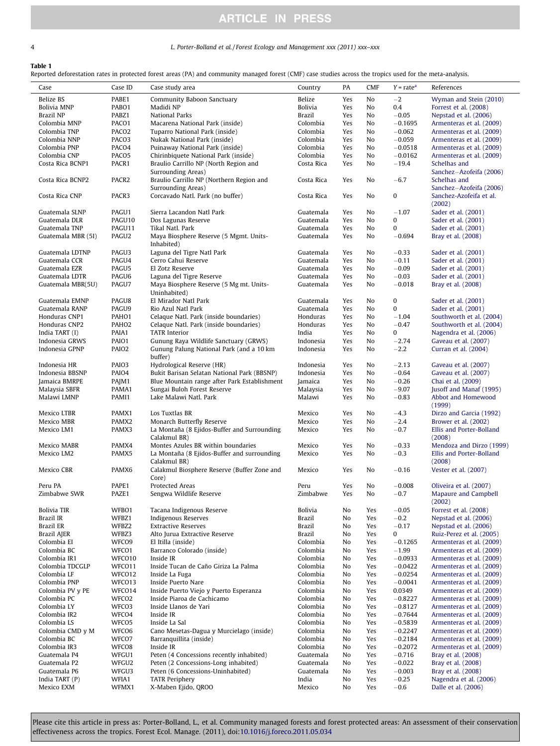### <span id="page-3-0"></span>4 L. Porter-Bolland et al. / Forest Ecology and Management xxx (2011) xxx–xxx

#### Table 1

Reported deforestation rates in protected forest areas (PA) and community managed forest (CMF) case studies across the tropics used for the meta-analysis.

| Case               | Case ID           | Case study area                              | Country        | PA  | CMF | $Y = rate^a$   | References                  |
|--------------------|-------------------|----------------------------------------------|----------------|-----|-----|----------------|-----------------------------|
| <b>Belize BS</b>   | PABE1             | Community Baboon Sanctuary                   | Belize         | Yes | No  | $-2$           | Wyman and Stein (2010)      |
| Bolivia MNP        | PABO1             | Madidi NP                                    | <b>Bolivia</b> | Yes | No  | 0.4            | Forrest et al. (2008)       |
| Brazil NP          | PABZ1             | National Parks                               | <b>Brazil</b>  | Yes | No  | $-0.05$        | Nepstad et al. (2006)       |
| Colombia MNP       | PACO1             | Macarena National Park (inside)              | Colombia       | Yes | No  | $-0.1695$      |                             |
|                    |                   |                                              | Colombia       |     |     |                | Armenteras et al. (2009)    |
| Colombia TNP       | PACO <sub>2</sub> | Tuparro National Park (inside)               |                | Yes | No  | $-0.062$       | Armenteras et al. (2009)    |
| Colombia NNP       | PACO3             | Nukak National Park (inside)                 | Colombia       | Yes | No  | $-0.059$       | Armenteras et al. (2009)    |
| Colombia PNP       | PACO4             | Puinaway National Park (inside)              | Colombia       | Yes | No  | $-0.0518$      | Armenteras et al. (2009)    |
| Colombia CNP       | PACO <sub>5</sub> | Chirinbiquete National Park (inside)         | Colombia       | Yes | No  | $-0.0162$      | Armenteras et al. (2009)    |
| Costa Rica BCNP1   | PACR1             | Braulio Carrillo NP (North Region and        | Costa Rica     | Yes | No  | $-19.4$        | Schelhas and                |
|                    |                   | Surrounding Areas)                           |                |     |     |                | Sanchez-Azofeifa (2006)     |
| Costa Rica BCNP2   | PACR2             | Braulio Carrillo NP (Northern Region and     | Costa Rica     | Yes | No  | $-6.7$         | Schelhas and                |
|                    |                   | Surrounding Areas)                           |                |     |     |                | Sanchez-Azofeifa (2006)     |
| Costa Rica CNP     | PACR3             | Corcavado Natl. Park (no buffer)             | Costa Rica     | Yes | No  | 0              | Sanchez-Azofeifa et al.     |
|                    |                   |                                              |                |     |     |                | (2002)                      |
| Guatemala SLNP     | PAGU1             | Sierra Lacandon Natl Park                    | Guatemala      | Yes | No  | $-1.07$        | Sader et al. (2001)         |
| Guatemala DLR      | PAGU10            | Dos Lagunas Reserve                          | Guatemala      | Yes | No  | 0              | Sader et al. (2001)         |
| Guatemala TNP      | PAGU11            | Tikal Natl. Park                             | Guatemala      | Yes | No  | 0              | Sader et al. (2001)         |
| Guatemala MBR (5I) | PAGU2             | Maya Biosphere Reserve (5 Mgmt. Units-       | Guatemala      | Yes | No  | $-0.694$       | Bray et al. (2008)          |
|                    |                   | Inhabited)                                   |                |     |     |                |                             |
| Guatemala LDTNP    | PAGU3             | Laguna del Tigre Natl Park                   | Guatemala      | Yes | No  | $-0.33$        | Sader et al. (2001)         |
| Guatemala CCR      | PAGU4             | Cerro Cahui Reserve                          | Guatemala      | Yes | No  | $-0.11$        | Sader et al. (2001)         |
| Guatemala EZR      | PAGU5             | El Zotz Reserve                              | Guatemala      | Yes | No  | $-0.09$        | Sader et al. (2001)         |
| Guatemala LDTR     | PAGU6             | Laguna del Tigre Reserve                     | Guatemala      | Yes | No  | $-0.03$        | Sader et al. (2001)         |
|                    |                   |                                              | Guatemala      |     |     |                |                             |
| Guatemala MBR(5U)  | PAGU7             | Maya Biosphere Reserve (5 Mg mt. Units-      |                | Yes | No  | $-0.018$       | Bray et al. (2008)          |
|                    |                   | Uninhabited)                                 |                |     |     |                |                             |
| Guatemala EMNP     | PAGU8             | El Mirador Natl Park                         | Guatemala      | Yes | No  | 0              | Sader et al. (2001)         |
| Guatemala RANP     | PAGU9             | Rio Azul Natl Park                           | Guatemala      | Yes | No  | 0              | Sader et al. (2001)         |
| Honduras CNP1      | PAHO1             | Celaque Natl. Park (inside boundaries)       | Honduras       | Yes | No  | $-1.04$        | Southworth et al. (2004)    |
| Honduras CNP2      | PAHO <sub>2</sub> | Celaque Natl. Park (inside boundaries)       | Honduras       | Yes | No  | $-0.47$        | Southworth et al. (2004)    |
| India TART (I)     | PAIA1             | <b>TATR</b> Interior                         | India          | Yes | No  | $\overline{0}$ | Nagendra et al. (2006)      |
| Indonesia GRWS     | PAIO1             | Gunung Raya Wildlife Sanctuary (GRWS)        | Indonesia      | Yes | No  | $-2.74$        | Gaveau et al. (2007)        |
| Indonesia GPNP     | PAIO <sub>2</sub> | Gunung Palung National Park (and a 10 km     | Indonesia      | Yes | No  | $-2.2$         | Curran et al. (2004)        |
|                    |                   | buffer)                                      |                |     |     |                |                             |
| Indonesia HR       | PAIO3             | Hydrological Reserve (HR)                    | Indonesia      | Yes | No  | $-2.13$        | Gaveau et al. (2007)        |
| Indonesia BBSNP    | PAIO4             | Bukit Barisan Selatan National Park (BBSNP)  | Indonesia      | Yes | No  | $-0.64$        | Gaveau et al. (2007)        |
| Jamaica BMRPE      | PAJM1             | Blue Mountain range after Park Establishment | Jamaica        | Yes | No  | $-0.26$        | Chai et al. (2009)          |
| Malaysia SBFR      | PAMA1             | Sungai Buloh Forest Reserve                  | Malaysia       | Yes | No  | $-9.07$        | Jusoff and Manaf (1995)     |
|                    | PAMI1             | Lake Malawi Natl. Park                       | Malawi         | Yes | No  | $-0.83$        | Abbot and Homewood          |
| Malawi LMNP        |                   |                                              |                |     |     |                |                             |
|                    |                   |                                              |                |     |     |                | (1999)                      |
| Mexico LTBR        | PAMX1             | Los Tuxtlas BR                               | Mexico         | Yes | No  | $-4.3$         | Dirzo and Garcia (1992)     |
| Mexico MBR         | PAMX2             | Monarch Butterfly Reserve                    | Mexico         | Yes | No  | $-2.4$         | Brower et al. (2002)        |
| Mexico LM1         | PAMX3             | La Montaña (8 Ejidos-Buffer and Surrounding  | Mexico         | Yes | No  | $-0.7$         | Ellis and Porter-Bolland    |
|                    |                   | Calakmul BR)                                 |                |     |     |                | (2008)                      |
| Mexico MABR        | PAMX4             | Montes Azules BR within boundaries           | Mexico         | Yes | No  | $-0.33$        | Mendoza and Dirzo (1999)    |
| Mexico LM2         | PAMX5             | La Montaña (8 Ejidos-Buffer and surrounding  | Mexico         | Yes | No  | $-0.3$         | Ellis and Porter-Bolland    |
|                    |                   | Calakmul BR)                                 |                |     |     |                | (2008)                      |
| Mexico CBR         | PAMX6             | Calakmul Biosphere Reserve (Buffer Zone and  | Mexico         | Yes | No  | $-0.16$        | Vester et al. (2007)        |
|                    |                   | Core)                                        |                |     |     |                |                             |
| Peru PA            | PAPE1             | Protected Areas                              | Peru           | Yes | No  | $-0.008$       | Oliveira et al. (2007)      |
| Zimbabwe SWR       | PAZE1             | Sengwa Wildlife Reserve                      | Zimbabwe       | Yes | No  | $-0.7$         | <b>Mapaure and Campbell</b> |
|                    |                   |                                              |                |     |     |                | (2002)                      |
| <b>Bolivia TIR</b> | WFB01             | Tacana Indigenous Reserve                    | <b>Bolivia</b> | No  | Yes | $-0.05$        | Forrest et al. (2008)       |
| Brazil IR          | WFBZ1             | <b>Indigenous Reserves</b>                   | <b>Brazil</b>  | No  | Yes | $-0.2$         | Nepstad et al. (2006)       |
| Brazil ER          | WFBZ2             | <b>Extractive Reserves</b>                   | <b>Brazil</b>  |     |     | $-0.17$        | Nepstad et al. (2006)       |
|                    |                   |                                              |                | No  | Yes |                |                             |
| Brazil AJER        | WFBZ3             | Alto Jurua Extractive Reserve                | <b>Brazil</b>  | No  | Yes | 0              | Ruiz-Perez et al. (2005)    |
| Colombia EI        | WFCO9             | El Itilla (inside)                           | Colombia       | No  | Yes | $-0.1265$      | Armenteras et al. (2009)    |
| Colombia BC        | WFC01             | Barranco Colorado (inside)                   | Colombia       | No  | Yes | $-1.99$        | Armenteras et al. (2009)    |
| Colombia IR1       | WFCO10            | Inside IR                                    | Colombia       | No  | Yes | $-0.0933$      | Armenteras et al. (2009)    |
| Colombia TDCGLP    | WFCO11            | Inside Tucan de Caño Giriza La Palma         | Colombia       | No  | Yes | $-0.0422$      | Armenteras et al. (2009)    |
| Colombia LF        | WFCO12            | Inside La Fuga                               | Colombia       | No  | Yes | $-0.0254$      | Armenteras et al. (2009)    |
| Colombia PNP       | WFCO13            | Inside Puerto Nare                           | Colombia       | No  | Yes | $-0.0041$      | Armenteras et al. (2009)    |
| Colombia PV y PE   | WFCO14            | Inside Puerto Viejo y Puerto Esperanza       | Colombia       | No  | Yes | 0.0349         | Armenteras et al. (2009)    |
| Colombia PC        | WFCO <sub>2</sub> | Inside Piaroa de Cachicamo                   | Colombia       | No  | Yes | $-0.8227$      | Armenteras et al. (2009)    |
| Colombia LY        | WFC03             | Inside Llanos de Yari                        | Colombia       | No  | Yes | $-0.8127$      | Armenteras et al. (2009)    |
| Colombia IR2       | WFC04             | Inside IR                                    | Colombia       | No  | Yes | $-0.7644$      | Armenteras et al. (2009)    |
| Colombia LS        | WFC05             | Inside La Sal                                | Colombia       | No  | Yes | $-0.5839$      | Armenteras et al. (2009)    |
| Colombia CMD y M   | WFC06             | Cano Mesetas-Dagua y Murcielago (inside)     | Colombia       | No  | Yes | $-0.2247$      | Armenteras et al. (2009)    |
| Colombia BC        | WFC07             | Barranquillita (inside)                      | Colombia       | No  |     | $-0.2184$      | Armenteras et al. (2009)    |
|                    | WFCO8             | Inside IR                                    |                |     | Yes | $-0.2072$      |                             |
| Colombia IR3       |                   |                                              | Colombia       | No  | Yes |                | Armenteras et al. (2009)    |
| Guatemala P4       | WFGU1             | Peten (4 Concessions recently inhabited)     | Guatemala      | No  | Yes | $-0.716$       | Bray et al. (2008)          |
| Guatemala P2       | WFGU2             | Peten (2 Concessions-Long inhabited)         | Guatemala      | No  | Yes | $-0.022$       | Bray et al. (2008)          |
| Guatemala P6       | WFGU3             | Peten (6 Concessions-Uninhabited)            | Guatemala      | No  | Yes | $-0.003$       | Bray et al. (2008)          |
| India TART (P)     | WFIA1             | <b>TATR Periphery</b>                        | India          | No  | Yes | $-0.25$        | Nagendra et al. (2006)      |
| Mexico EXM         | WFMX1             | X-Maben Ejido, QROO                          | Mexico         | No  | Yes | $-0.6$         | Dalle et al. (2006)         |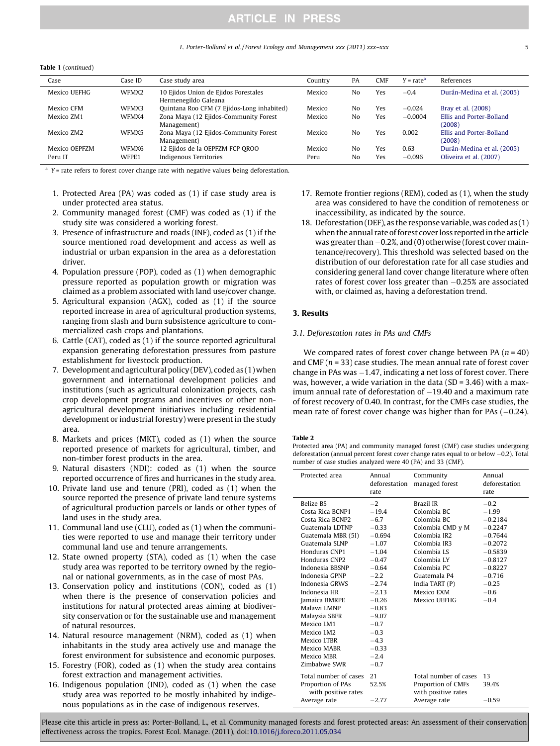#### L. Porter-Bolland et al. / Forest Ecology and Management xxx (2011) xxx–xxx 5

#### <span id="page-4-0"></span>Table 1 (continued)

| Case                     | Case ID        | Case study area                                                                     | Country          | PA                   | <b>CMF</b> | Y = rate <sup>a</sup> | References                                           |
|--------------------------|----------------|-------------------------------------------------------------------------------------|------------------|----------------------|------------|-----------------------|------------------------------------------------------|
| Mexico UEFHG             | WFMX2          | 10 Ejidos Union de Ejidos Forestales<br>Hermenegildo Galeana                        | Mexico           | No                   | Yes        | $-0.4$                | Durán-Medina et al. (2005)                           |
| Mexico CFM<br>Mexico ZM1 | WFMX3<br>WFMX4 | Quintana Roo CFM (7 Ejidos-Long inhabited)<br>Zona Maya (12 Ejidos-Community Forest | Mexico<br>Mexico | No<br>N <sub>o</sub> | Yes<br>Yes | $-0.024$<br>$-0.0004$ | Bray et al. (2008)<br>Ellis and Porter-Bolland       |
|                          |                | Management)                                                                         |                  |                      |            |                       | (2008)                                               |
| Mexico ZM2               | WFMX5          | Zona Maya (12 Ejidos-Community Forest<br>Management)                                | Mexico           | No                   | Yes        | 0.002                 | Ellis and Porter-Bolland<br>(2008)                   |
| Mexico OEPFZM<br>Peru IT | WFMX6<br>WFPE1 | 12 Ejidos de la OEPFZM FCP QROO<br>Indigenous Territories                           | Mexico<br>Peru   | No<br>No             | Yes<br>Yes | 0.63<br>$-0.096$      | Durán-Medina et al. (2005)<br>Oliveira et al. (2007) |
|                          |                |                                                                                     |                  |                      |            |                       |                                                      |

 $A$   $Y$  = rate refers to forest cover change rate with negative values being deforestation.

- 1. Protected Area (PA) was coded as (1) if case study area is under protected area status.
- 2. Community managed forest (CMF) was coded as (1) if the study site was considered a working forest.
- 3. Presence of infrastructure and roads (INF), coded as (1) if the source mentioned road development and access as well as industrial or urban expansion in the area as a deforestation driver.
- 4. Population pressure (POP), coded as (1) when demographic pressure reported as population growth or migration was claimed as a problem associated with land use/cover change.
- 5. Agricultural expansion (AGX), coded as (1) if the source reported increase in area of agricultural production systems, ranging from slash and burn subsistence agriculture to commercialized cash crops and plantations.
- 6. Cattle (CAT), coded as (1) if the source reported agricultural expansion generating deforestation pressures from pasture establishment for livestock production.
- 7. Development and agricultural policy (DEV), coded as (1) when government and international development policies and institutions (such as agricultural colonization projects, cash crop development programs and incentives or other nonagricultural development initiatives including residential development or industrial forestry) were present in the study area.
- 8. Markets and prices (MKT), coded as (1) when the source reported presence of markets for agricultural, timber, and non-timber forest products in the area.
- 9. Natural disasters (NDI): coded as (1) when the source reported occurrence of fires and hurricanes in the study area.
- 10. Private land use and tenure (PRI), coded as (1) when the source reported the presence of private land tenure systems of agricultural production parcels or lands or other types of land uses in the study area.
- 11. Communal land use (CLU), coded as (1) when the communities were reported to use and manage their territory under communal land use and tenure arrangements.
- 12. State owned property (STA), coded as (1) when the case study area was reported to be territory owned by the regional or national governments, as in the case of most PAs.
- 13. Conservation policy and institutions (CON), coded as (1) when there is the presence of conservation policies and institutions for natural protected areas aiming at biodiversity conservation or for the sustainable use and management of natural resources.
- 14. Natural resource management (NRM), coded as (1) when inhabitants in the study area actively use and manage the forest environment for subsistence and economic purposes.
- 15. Forestry (FOR), coded as (1) when the study area contains forest extraction and management activities.
- 16. Indigenous population (IND), coded as (1) when the case study area was reported to be mostly inhabited by indigenous populations as in the case of indigenous reserves.
- 17. Remote frontier regions (REM), coded as (1), when the study area was considered to have the condition of remoteness or inaccessibility, as indicated by the source.
- 18. Deforestation (DEF), as the response variable, was coded as (1) when the annual rate of forest cover loss reported in the article was greater than  $-0.2\%$ , and (0) otherwise (forest cover maintenance/recovery). This threshold was selected based on the distribution of our deforestation rate for all case studies and considering general land cover change literature where often rates of forest cover loss greater than  $-0.25\%$  are associated with, or claimed as, having a deforestation trend.

#### 3. Results

#### 3.1. Deforestation rates in PAs and CMFs

We compared rates of forest cover change between PA ( $n = 40$ ) and CMF ( $n = 33$ ) case studies. The mean annual rate of forest cover change in PAs was -1.47, indicating a net loss of forest cover. There was, however, a wide variation in the data (SD = 3.46) with a maximum annual rate of deforestation of  $-19.40$  and a maximum rate of forest recovery of 0.40. In contrast, for the CMFs case studies, the mean rate of forest cover change was higher than for PAs  $(-0.24)$ .

#### Table 2

Protected area (PA) and community managed forest (CMF) case studies undergoing deforestation (annual percent forest cover change rates equal to or below  $-0.2$ ). Total number of case studies analyzed were 40 (PA) and 33 (CMF).

| Protected area                           | Annual<br>deforestation<br>rate | Community<br>managed forest               | Annual<br>deforestation<br>rate |
|------------------------------------------|---------------------------------|-------------------------------------------|---------------------------------|
| Belize BS                                | $-2$                            | Brazil IR                                 | $-0.2$                          |
| Costa Rica BCNP1                         | $-19.4$                         | Colombia BC                               | $-1.99$                         |
| Costa Rica BCNP2                         | $-6.7$                          | Colombia BC                               | $-0.2184$                       |
| Guatemala LDTNP                          | $-0.33$                         | Colombia CMD y M                          | $-0.2247$                       |
| Guatemala MBR (5I)                       | $-0.694$                        | Colombia IR2                              | $-0.7644$                       |
| Guatemala SLNP                           | $-1.07$                         | Colombia IR3                              | $-0.2072$                       |
| Honduras CNP1                            | $-1.04$                         | Colombia LS                               | $-0.5839$                       |
| Honduras CNP2                            | $-0.47$                         | Colombia LY                               | $-0.8127$                       |
| Indonesia BBSNP                          | $-0.64$                         | Colombia PC                               | $-0.8227$                       |
| Indonesia GPNP                           | $-2.2$                          | Guatemala P4                              | $-0.716$                        |
| Indonesia GRWS                           | $-2.74$                         | India TART (P)                            | $-0.25$                         |
| Indonesia HR                             | $-2.13$                         | Mexico EXM                                | $-0.6$                          |
| Jamaica BMRPE                            | $-0.26$                         | Mexico UEFHG                              | $-0.4$                          |
| Malawi LMNP                              | $-0.83$                         |                                           |                                 |
| Malaysia SBFR                            | $-9.07$                         |                                           |                                 |
| Mexico LM1                               | $-0.7$                          |                                           |                                 |
| Mexico LM2                               | $-0.3$                          |                                           |                                 |
| Mexico LTBR                              | $-4.3$                          |                                           |                                 |
| Mexico MABR                              | $-0.33$                         |                                           |                                 |
| Mexico MBR                               | $-2.4$                          |                                           |                                 |
| Zimbabwe SWR                             | $-0.7$                          |                                           |                                 |
| Total number of cases                    | 21                              | Total number of cases                     | 13                              |
| Proportion of PAs<br>with positive rates | 52.5%                           | Proportion of CMFs<br>with positive rates | 39.4%                           |
| Average rate                             | $-2.77$                         | Average rate                              | $-0.59$                         |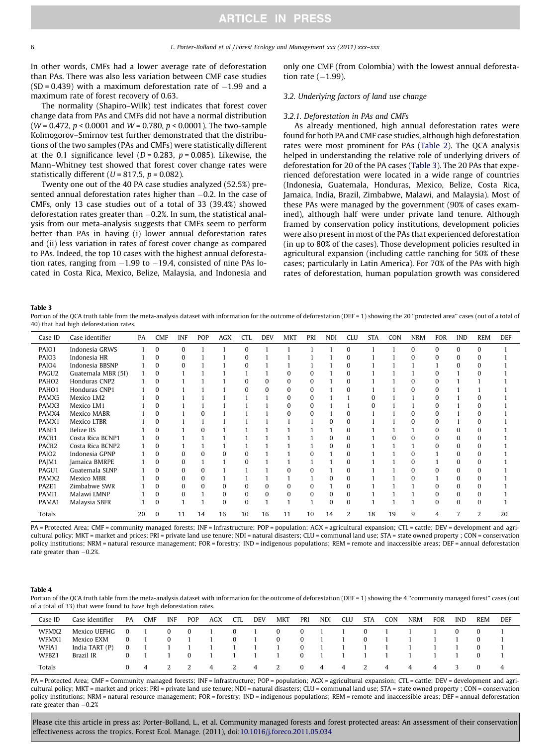<span id="page-5-0"></span>In other words, CMFs had a lower average rate of deforestation than PAs. There was also less variation between CMF case studies  $\left( \text{SD} = 0.439 \right)$  with a maximum deforestation rate of  $-1.99$  and a maximum rate of forest recovery of 0.63.

The normality (Shapiro–Wilk) test indicates that forest cover change data from PAs and CMFs did not have a normal distribution ( $W = 0.472$ ,  $p < 0.0001$  and  $W = 0.780$ ,  $p < 0.0001$ ). The two-sample Kolmogorov–Smirnov test further demonstrated that the distributions of the two samples (PAs and CMFs) were statistically different at the 0.1 significance level ( $D = 0.283$ ,  $p = 0.085$ ). Likewise, the Mann–Whitney test showed that forest cover change rates were statistically different ( $U = 817.5$ ,  $p = 0.082$ ).

Twenty one out of the 40 PA case studies analyzed (52.5%) presented annual deforestation rates higher than –0.2. In the case of CMFs, only 13 case studies out of a total of 33 (39.4%) showed deforestation rates greater than –0.2%. In sum, the statistical analysis from our meta-analysis suggests that CMFs seem to perform better than PAs in having (i) lower annual deforestation rates and (ii) less variation in rates of forest cover change as compared to PAs. Indeed, the top 10 cases with the highest annual deforestation rates, ranging from –1.99 to –19.4, consisted of nine PAs located in Costa Rica, Mexico, Belize, Malaysia, and Indonesia and only one CMF (from Colombia) with the lowest annual deforestation rate  $(-1.99)$ .

#### 3.2. Underlying factors of land use change

#### 3.2.1. Deforestation in PAs and CMFs

As already mentioned, high annual deforestation rates were found for both PA and CMF case studies, although high deforestation rates were most prominent for PAs ([Table 2](#page-4-0)). The QCA analysis helped in understanding the relative role of underlying drivers of deforestation for 20 of the PA cases (Table 3). The 20 PAs that experienced deforestation were located in a wide range of countries (Indonesia, Guatemala, Honduras, Mexico, Belize, Costa Rica, Jamaica, India, Brazil, Zimbabwe, Malawi, and Malaysia). Most of these PAs were managed by the government (90% of cases examined), although half were under private land tenure. Although framed by conservation policy institutions, development policies were also present in most of the PAs that experienced deforestation (in up to 80% of the cases). Those development policies resulted in agricultural expansion (including cattle ranching for 50% of these cases; particularly in Latin America). For 70% of the PAs with high rates of deforestation, human population growth was considered

Table 3

Portion of the OCA truth table from the meta-analysis dataset with information for the outcome of deforestation (DEF = 1) showing the 20 "protected area" cases (out of a total of 40) that had high deforestation rates.

| Case ID           | Case identifier    | PA | <b>CMF</b> | INF      | POP      | <b>AGX</b> | <b>CTL</b> | <b>DEV</b> | <b>MKT</b> | PRI      | <b>NDI</b> | <b>CLU</b> | <b>STA</b> | <b>CON</b> | <b>NRM</b> | <b>FOR</b> | <b>IND</b> | <b>REM</b> | DEF |
|-------------------|--------------------|----|------------|----------|----------|------------|------------|------------|------------|----------|------------|------------|------------|------------|------------|------------|------------|------------|-----|
| PAIO1             | Indonesia GRWS     |    | $\Omega$   | $\Omega$ |          |            | $\Omega$   | 1          |            |          |            | $\Omega$   |            |            | $\Omega$   | $\Omega$   | $\Omega$   | 0          |     |
| PAIO3             | Indonesia HR       |    | $\Omega$   | 0        |          |            | O          |            |            |          |            |            |            |            | o          | $\Omega$   | 0          |            |     |
| PAIO4             | Indonesia BBSNP    |    |            |          |          |            | ſ          |            |            |          |            |            |            |            |            |            |            |            |     |
| PAGU2             | Guatemala MBR (5I) |    | $\Omega$   |          |          |            |            |            | 0          |          |            |            |            |            |            | 0          |            |            |     |
| PAHO <sub>2</sub> | Honduras CNP2      |    |            |          |          |            | O          |            |            |          |            |            |            |            |            | O          |            |            |     |
| PAHO1             | Honduras CNP1      |    |            |          |          |            | $\Omega$   | $\Omega$   | $\Omega$   | n        |            |            |            |            |            | 0          |            |            |     |
| PAMX5             | Mexico LM2         |    | n          |          |          |            |            |            | O          | n        |            |            |            |            |            | O          |            |            |     |
| PAMX3             | Mexico LM1         |    |            |          |          |            |            |            |            | O        |            |            | O          |            |            | o          |            |            |     |
| PAMX4             | Mexico MABR        |    |            |          | O        |            |            |            | O          |          |            |            |            |            |            | 0          |            |            |     |
| PAMX1             | Mexico LTBR        |    |            |          |          |            |            |            |            |          | 0          |            |            |            |            | $\Omega$   |            |            |     |
| PABE1             | Belize BS          |    |            |          | 0        |            |            |            |            |          |            |            |            |            |            | $\Omega$   | 0          |            |     |
| PACR1             | Costa Rica BCNP1   |    | $\Omega$   |          |          |            |            |            |            |          | 0          |            |            |            |            | $\Omega$   | 0          |            |     |
| PACR <sub>2</sub> | Costa Rica BCNP2   |    | $\Omega$   |          |          |            |            |            |            |          | $\Omega$   |            |            |            |            | $\Omega$   | 0          |            |     |
| PAIO <sub>2</sub> | Indonesia GPNP     |    | $\Omega$   |          | O        | O          |            |            |            |          |            |            |            |            |            |            | 0          |            |     |
| PAJM1             | Jamaica BMRPE      |    | O          | 0        |          |            | O          |            |            |          |            |            |            |            |            |            | o          |            |     |
| PAGU1             | Guatemala SLNP     |    | $\Omega$   | 0        | 0        |            |            |            | $\Omega$   |          |            |            |            |            |            | $\Omega$   | 0          |            |     |
| PAMX2             | Mexico MBR         |    | $\Omega$   | $\Omega$ | 0        |            |            |            |            |          | $\Omega$   |            |            |            |            |            | 0          |            |     |
| PAZE1             | Zimbabwe SWR       |    | $\Omega$   | $\Omega$ | $\Omega$ | $\Omega$   | $\Omega$   | $\Omega$   | $\Omega$   | $\Omega$ |            |            |            |            |            | 0          | 0          |            |     |
| PAMI1             | Malawi LMNP        |    | $\Omega$   | $\Omega$ |          | $\Omega$   | $\Omega$   | $\theta$   | $\Omega$   | O        | $\Omega$   |            |            |            |            | $\Omega$   | 0          |            |     |
| PAMA1             | Malaysia SBFR      |    |            |          |          | $\Omega$   | $\Omega$   |            |            |          | $\Omega$   |            |            |            |            | $\Omega$   | 0          |            |     |
| Totals            |                    | 20 | $\bf{0}$   | 11       | 14       | 16         | 10         | 16         | 11         | 10       | 14         | 2          | 18         | 19         | 9          | 4          |            | 2          | 20  |

PA = Protected Area; CMF = community managed forests; INF = Infrastructure; POP = population; AGX = agricultural expansion; CTL = cattle; DEV = development and agricultural policy; MKT = market and prices; PRI = private land use tenure; NDI = natural disasters; CLU = communal land use; STA = state owned property ; CON = conservation policy institutions; NRM = natural resource management; FOR = forestry; IND = indigenous populations; REM = remote and inaccessible areas; DEF = annual deforestation rate greater than –0.2%.

#### Table 4

Portion of the QCA truth table from the meta-analysis dataset with information for the outcome of deforestation (DEF = 1) showing the 4 "community managed forest" cases (out of a total of 33) that were found to have high deforestation rates.

| Case ID | Case identifier | <b>PA</b> | CMF | <b>INF</b> | <b>POP</b> | AGX | CTL | <b>DEV</b> | <b>MK</b> | PRI      | NDI | CLU | <b>STA</b> | CON | <b>NRM</b>   | <b>FOR</b> | <b>IND</b> | <b>REM</b> | <b>DEF</b> |
|---------|-----------------|-----------|-----|------------|------------|-----|-----|------------|-----------|----------|-----|-----|------------|-----|--------------|------------|------------|------------|------------|
| WFMX2   | Mexico UEFHG    |           |     | 0          | 0          |     |     |            | 0         | 0        |     |     | 0          |     |              |            |            |            |            |
| WFMX1   | Mexico EXM      |           |     | 0          |            |     |     |            | 0         | $\bf{0}$ |     |     |            |     |              |            |            |            |            |
| WFIA1   | India TART (P)  |           |     |            |            |     |     |            |           | 0        |     |     |            |     |              |            |            |            |            |
| WFBZ1   | Brazil IR       |           |     |            |            |     |     |            |           | $\Omega$ |     |     |            |     |              |            |            |            |            |
| Totals  |                 |           | 4   |            |            | 4   |     | 4          |           | $\Omega$ | 4   | 4   |            | 4   | $\mathbf{A}$ | Δ          |            |            | 4          |

PA = Protected Area; CMF = Community managed forests; INF = Infrastructure; POP = population; AGX = agricultural expansion; CTL = cattle; DEV = development and agricultural policy; MKT = market and prices; PRI = private land use tenure; NDI = natural disasters; CLU = communal land use; STA = state owned property ; CON = conservation policy institutions; NRM = natural resource management; FOR = forestry; IND = indigenous populations; REM = remote and inaccessible areas; DEF = annual deforestation rate greater than  $-0.2\%$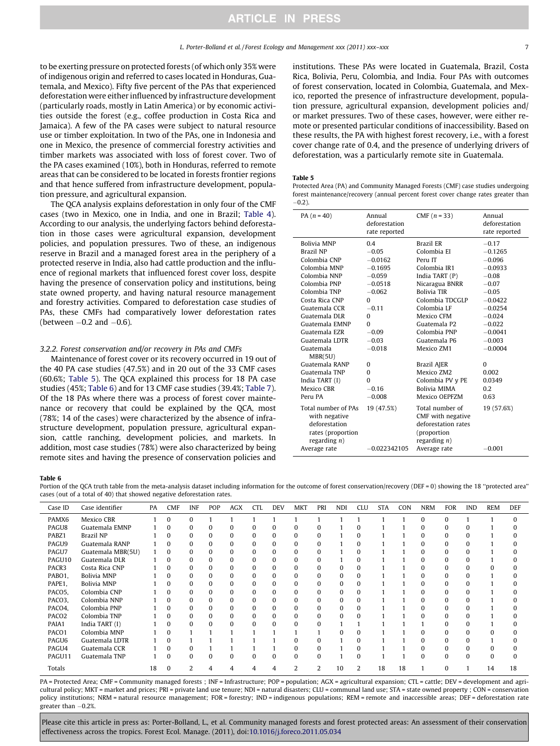to be exerting pressure on protected forests (of which only 35% were of indigenous origin and referred to cases located in Honduras, Guatemala, and Mexico). Fifty five percent of the PAs that experienced deforestation were either influenced by infrastructure development (particularly roads, mostly in Latin America) or by economic activities outside the forest (e.g., coffee production in Costa Rica and Jamaica). A few of the PA cases were subject to natural resource use or timber exploitation. In two of the PAs, one in Indonesia and one in Mexico, the presence of commercial forestry activities and timber markets was associated with loss of forest cover. Two of the PA cases examined (10%), both in Honduras, referred to remote areas that can be considered to be located in forests frontier regions and that hence suffered from infrastructure development, population pressure, and agricultural expansion.

The QCA analysis explains deforestation in only four of the CMF cases (two in Mexico, one in India, and one in Brazil; [Table 4\)](#page-5-0). According to our analysis, the underlying factors behind deforestation in those cases were agricultural expansion, development policies, and population pressures. Two of these, an indigenous reserve in Brazil and a managed forest area in the periphery of a protected reserve in India, also had cattle production and the influence of regional markets that influenced forest cover loss, despite having the presence of conservation policy and institutions, being state owned property, and having natural resource management and forestry activities. Compared to deforestation case studies of PAs, these CMFs had comparatively lower deforestation rates (between  $-0.2$  and  $-0.6$ ).

#### 3.2.2. Forest conservation and/or recovery in PAs and CMFs

Maintenance of forest cover or its recovery occurred in 19 out of the 40 PA case studies (47.5%) and in 20 out of the 33 CMF cases (60.6%; Table 5). The QCA explained this process for 18 PA case studies (45%; Table 6) and for 13 CMF case studies (39.4%; [Table 7\)](#page-7-0). Of the 18 PAs where there was a process of forest cover maintenance or recovery that could be explained by the QCA, most (78%; 14 of the cases) were characterized by the absence of infrastructure development, population pressure, agricultural expansion, cattle ranching, development policies, and markets. In addition, most case studies (78%) were also characterized by being remote sites and having the presence of conservation policies and

institutions. These PAs were located in Guatemala, Brazil, Costa Rica, Bolivia, Peru, Colombia, and India. Four PAs with outcomes of forest conservation, located in Colombia, Guatemala, and Mexico, reported the presence of infrastructure development, population pressure, agricultural expansion, development policies and/ or market pressures. Two of these cases, however, were either remote or presented particular conditions of inaccessibility. Based on these results, the PA with highest forest recovery, i.e., with a forest cover change rate of 0.4, and the presence of underlying drivers of deforestation, was a particularly remote site in Guatemala.

#### Table 5

Protected Area (PA) and Community Managed Forests (CMF) case studies undergoing forest maintenance/recovery (annual percent forest cover change rates greater than  $-0.2$ ).

|                                                                                                                                                                                                                                                                           |                                                                                                                                                                     |                                                                                                                                                                                                                                                          | rate reported                                                                                                                                                                      |
|---------------------------------------------------------------------------------------------------------------------------------------------------------------------------------------------------------------------------------------------------------------------------|---------------------------------------------------------------------------------------------------------------------------------------------------------------------|----------------------------------------------------------------------------------------------------------------------------------------------------------------------------------------------------------------------------------------------------------|------------------------------------------------------------------------------------------------------------------------------------------------------------------------------------|
| <b>Bolivia MNP</b><br><b>Brazil NP</b><br>Colombia CNP<br>Colombia MNP<br>Colombia NNP<br>Colombia PNP<br>Colombia TNP<br>Costa Rica CNP<br>Guatemala CCR<br>Guatemala DLR<br>Guatemala EMNP<br>Guatemala EZR<br>Guatemala LDTR<br>Guatemala<br>MBR(5U)<br>Guatemala RANP | 0.4<br>$-0.05$<br>$-0.0162$<br>$-0.1695$<br>$-0.059$<br>$-0.0518$<br>$-0.062$<br>0<br>$-0.11$<br>$\Omega$<br>$\Omega$<br>$-0.09$<br>$-0.03$<br>$-0.018$<br>$\Omega$ | <b>Brazil ER</b><br>Colombia EI<br>Peru IT<br>Colombia IR1<br>India TART (P)<br>Nicaragua BNRR<br><b>Bolivia TIR</b><br>Colombia TDCGLP<br>Colombia LF<br>Mexico CFM<br>Guatemala P2<br>Colombia PNP<br>Guatemala P6<br>Mexico ZM1<br><b>Brazil AJER</b> | $-0.17$<br>$-0.1265$<br>$-0.096$<br>$-0.0933$<br>$-0.08$<br>$-0.07$<br>$-0.05$<br>$-0.0422$<br>$-0.0254$<br>$-0.024$<br>$-0.022$<br>$-0.0041$<br>$-0.003$<br>$-0.0004$<br>$\Omega$ |
| Guatemala TNP<br>India TART (I)<br>Mexico CBR<br>Peru PA<br>Total number of PAs<br>with negative<br>deforestation<br>rates (proportion<br>regarding $n$ )<br>Average rate                                                                                                 | $\Omega$<br>o<br>$-0.16$<br>$-0.008$<br>19 (47.5%)<br>$-0.022342105$                                                                                                | Mexico ZM2<br>Colombia PV y PE<br><b>Bolivia MIMA</b><br>Mexico OEPFZM<br>Total number of<br>CMF with negative<br>deforestation rates<br>(proportion<br>regarding $n$ )<br>Average rate                                                                  | 0.002<br>0.0349<br>0.2<br>0.63<br>19 (57.6%)<br>$-0.001$                                                                                                                           |

#### Table 6

Portion of the QCA truth table from the meta-analysis dataset including information for the outcome of forest conservation/recovery (DEF = 0) showing the 18 ''protected area'' cases (out of a total of 40) that showed negative deforestation rates.

| Case ID           | Case identifier   | PA | <b>CMF</b> | <b>INF</b> | <b>POP</b> | <b>AGX</b> | CTL      | <b>DEV</b> | <b>MKT</b> | PRI | <b>NDI</b> | CLU | <b>STA</b> | <b>CON</b> | <b>NRM</b> | <b>FOR</b> | <b>IND</b> | <b>REM</b> | <b>DEF</b> |
|-------------------|-------------------|----|------------|------------|------------|------------|----------|------------|------------|-----|------------|-----|------------|------------|------------|------------|------------|------------|------------|
| PAMX6             | Mexico CBR        |    |            | O          |            |            |          |            |            |     |            |     |            |            |            |            |            |            |            |
| PAGU8             | Guatemala EMNP    |    |            | O          |            |            | 0        |            |            |     |            |     |            |            |            | 0          |            |            |            |
| PABZ1             | Brazil NP         |    |            | 0          |            |            |          |            |            |     |            |     |            |            |            |            |            |            |            |
| PAGU9             | Guatemala RANP    |    |            | O          |            |            | 0        |            |            |     |            |     |            |            |            |            |            |            |            |
| PAGU7             | Guatemala MBR(5U) |    |            |            |            |            |          |            |            |     |            |     |            |            |            |            |            |            |            |
| PAGU10            | Guatemala DLR     |    |            | O          | o          |            | 0        |            |            |     |            |     |            |            |            |            |            |            |            |
| PACR3             | Costa Rica CNP    |    |            | 0          | 0          |            |          |            |            |     |            |     |            |            |            |            |            |            |            |
| PABO1,            | Bolivia MNP       |    |            | 0          | 0          |            | 0        |            |            | 0   | 0          |     |            |            |            | 0          |            |            |            |
| PAPE1,            | Bolivia MNP       |    |            | O          |            |            |          |            |            |     |            |     |            |            |            |            |            |            |            |
| PACO5,            | Colombia CNP      |    |            | O          | o          |            | 0        |            |            | 0   | 0          |     |            |            |            |            |            |            |            |
| PACO <sub>3</sub> | Colombia NNP      |    |            | 0          |            |            | 0        |            |            |     | 0          |     |            |            |            |            |            |            |            |
| PACO4,            | Colombia PNP      |    |            | O          |            |            | 0        |            |            | 0   | 0          |     |            |            |            |            |            |            |            |
| PACO <sub>2</sub> | Colombia TNP      |    |            | O          |            |            |          |            |            |     |            |     |            |            |            |            |            |            |            |
| PAIA1             | India TART (I)    |    |            | O          | o          |            | $\Omega$ |            |            |     |            |     |            |            |            | 0          | o          |            |            |
| PACO1             | Colombia MNP      |    |            |            |            |            |          |            |            |     |            |     |            |            |            | 0          | 0          |            |            |
| PAGU6             | Guatemala LDTR    |    |            |            |            |            |          |            |            |     |            |     |            |            |            | $\Omega$   |            |            |            |
| PAGU4             | Guatemala CCR     |    |            | 0          |            |            |          |            |            |     |            |     |            |            |            | 0          |            |            |            |
| PAGU11            | Guatemala TNP     |    | C          | O          | O          |            | $\Omega$ |            | $\Omega$   |     |            |     |            |            |            | $\Omega$   | $\Omega$   | 0          |            |
| Totals            |                   | 18 | $\Omega$   |            | 4          |            |          |            |            |     | 10         |     | 18         | 18         |            | $\Omega$   |            | 14         | 18         |

PA = Protected Area; CMF = Community managed forests ; INF = Infrastructure; POP = population; AGX = agricultural expansion; CTL = cattle; DEV = development and agricultural policy; MKT = market and prices; PRI = private land use tenure; NDI = natural disasters; CLU = communal land use; STA = state owned property ; CON = conservation policy institutions; NRM = natural resource management; FOR = forestry; IND = indigenous populations; REM = remote and inaccessible areas; DEF = deforestation rate greater than  $-0.2\%$ .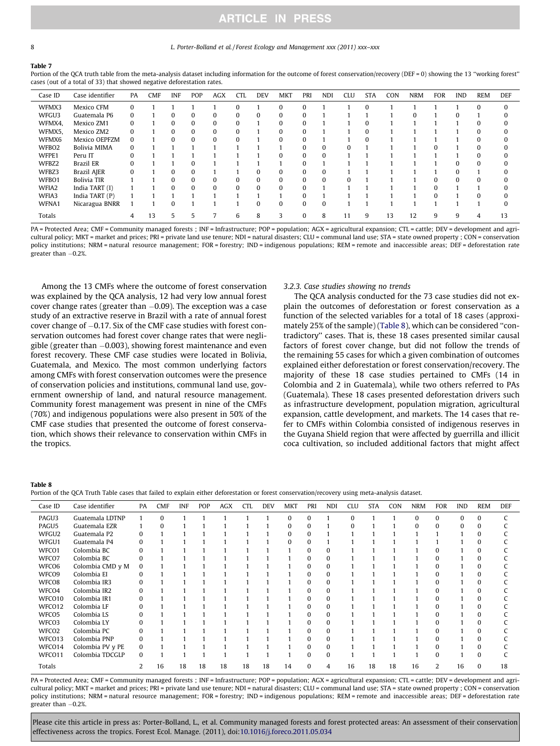#### <span id="page-7-0"></span>8 L. Porter-Bolland et al. / Forest Ecology and Management xxx (2011) xxx–xxx

#### Table 7

Portion of the QCA truth table from the meta-analysis dataset including information for the outcome of forest conservation/recovery (DEF = 0) showing the 13 ''working forest'' cases (out of a total of 33) that showed negative deforestation rates.

| Case ID           | Case identifier      | PA       | <b>CMF</b> | <b>INF</b> | POP      | <b>AGX</b> | <b>CTL</b> | <b>DEV</b> | <b>MKT</b> | PRI      | <b>NDI</b> | <b>CLU</b> | <b>STA</b> | <b>CON</b> | <b>NRM</b> | <b>FOR</b> | <b>IND</b> | <b>REM</b> | <b>DEF</b> |
|-------------------|----------------------|----------|------------|------------|----------|------------|------------|------------|------------|----------|------------|------------|------------|------------|------------|------------|------------|------------|------------|
| WFMX3             | Mexico CFM           | $\Omega$ |            |            |          |            | $\Omega$   |            | $\Omega$   | $\Omega$ |            |            | $\Omega$   |            |            |            |            | $\Omega$   | $\Omega$   |
| WFGU3             | Guatemala P6         | $\Omega$ |            |            |          | 0          |            |            | 0          |          |            |            |            |            | O          |            |            |            |            |
| WFMX4,            | Mexico ZM1           | $\Omega$ |            |            | $\Omega$ | 0          | 0          |            | 0          | $\Omega$ |            |            | 0          |            |            |            |            | 0          | 0          |
| WFMX5.            | Mexico ZM2           | $\Omega$ |            | $\Omega$   | $\Omega$ | 0          | 0          |            | 0          | $\Omega$ |            |            | $\Omega$   |            |            |            |            | 0          | $\Omega$   |
| WFMX6             | <b>Mexico OEPFZM</b> | $\Omega$ |            |            | $\Omega$ | $\Omega$   | $\Omega$   |            | $\Omega$   | $\Omega$ |            |            | $\Omega$   |            |            |            |            | $\Omega$   |            |
| WFBO <sub>2</sub> | <b>Bolivia MIMA</b>  | $\Omega$ |            |            |          |            |            |            |            |          |            | $\Omega$   |            |            |            |            |            | $\Omega$   |            |
| WFPE1             | Peru IT              |          |            |            |          |            |            |            |            |          |            |            |            |            |            |            |            | $\Omega$   | 0          |
| WFBZ2             | Brazil ER            | $\Omega$ |            |            |          |            |            |            |            | $\Omega$ |            |            |            |            |            |            | 0          | $\Omega$   | $\Omega$   |
| WFBZ3             | <b>Brazil AJER</b>   | $\Omega$ |            | -0         | $\Omega$ |            |            |            | $\Omega$   | $\Omega$ |            |            |            |            |            |            | 0          |            | 0          |
| WFBO1             | <b>Bolivia TIR</b>   |          |            |            | $\Omega$ | $\Omega$   | 0          |            | $\Omega$   | $\Omega$ |            | $\Omega$   |            |            |            | $\Omega$   | $\Omega$   | $\Omega$   |            |
| WFIA2             | India TART (I)       |          |            |            |          | $\Omega$   | $\Omega$   |            | $\Omega$   |          |            |            |            |            |            |            |            |            |            |
| WFIA3             | India TART (P)       |          |            |            |          |            |            |            |            |          |            |            |            |            |            |            |            | $\Omega$   |            |
| WFNA1             | Nicaragua BNRR       |          |            | -0         |          |            |            | $\Omega$   | $\Omega$   | $\Omega$ |            |            |            |            |            |            |            |            | $\Omega$   |
| Totals            |                      | 4        | 13         | 5          | 5        | 7          | 6          | 8          | 3          | $\Omega$ | 8          | 11         | 9          | 13         | 12         | 9          | 9          | 4          | 13         |

PA = Protected Area; CMF = Community managed forests ; INF = Infrastructure; POP = population; AGX = agricultural expansion; CTL = cattle; DEV = development and agricultural policy; MKT = market and prices; PRI = private land use tenure; NDI = natural disasters; CLU = communal land use; STA = state owned property ; CON = conservation policy institutions; NRM = natural resource management; FOR = forestry; IND = indigenous populations; REM = remote and inaccessible areas; DEF = deforestation rate greater than  $-0.2\%$ .

Among the 13 CMFs where the outcome of forest conservation was explained by the QCA analysis, 12 had very low annual forest cover change rates (greater than –0.09). The exception was a case study of an extractive reserve in Brazil with a rate of annual forest cover change of  $-0.17$ . Six of the CMF case studies with forest conservation outcomes had forest cover change rates that were negligible (greater than -0.003), showing forest maintenance and even forest recovery. These CMF case studies were located in Bolivia, Guatemala, and Mexico. The most common underlying factors among CMFs with forest conservation outcomes were the presence of conservation policies and institutions, communal land use, government ownership of land, and natural resource management. Community forest management was present in nine of the CMFs (70%) and indigenous populations were also present in 50% of the CMF case studies that presented the outcome of forest conservation, which shows their relevance to conservation within CMFs in the tropics.

#### 3.2.3. Case studies showing no trends

The QCA analysis conducted for the 73 case studies did not explain the outcomes of deforestation or forest conservation as a function of the selected variables for a total of 18 cases (approximately 25% of the sample) (Table 8), which can be considered ''contradictory'' cases. That is, these 18 cases presented similar causal factors of forest cover change, but did not follow the trends of the remaining 55 cases for which a given combination of outcomes explained either deforestation or forest conservation/recovery. The majority of these 18 case studies pertained to CMFs (14 in Colombia and 2 in Guatemala), while two others referred to PAs (Guatemala). These 18 cases presented deforestation drivers such as infrastructure development, population migration, agricultural expansion, cattle development, and markets. The 14 cases that refer to CMFs within Colombia consisted of indigenous reserves in the Guyana Shield region that were affected by guerrilla and illicit coca cultivation, so included additional factors that might affect

#### Table 8

|  |  |  |  | Portion of the OCA Truth Table cases that failed to explain either deforestation or forest conservation/recovery using meta-analysis dataset. |
|--|--|--|--|-----------------------------------------------------------------------------------------------------------------------------------------------|
|--|--|--|--|-----------------------------------------------------------------------------------------------------------------------------------------------|

| Case ID           | Case identifier  | <b>PA</b> | <b>CMF</b> | <b>INF</b> | <b>POP</b> | <b>AGX</b> | <b>CTL</b> | <b>DEV</b> | <b>MKT</b> | PRI      | <b>NDI</b> | <b>CLU</b> | <b>STA</b> | <b>CON</b> | <b>NRM</b> | <b>FOR</b> | <b>IND</b> | <b>REM</b> | <b>DEF</b> |
|-------------------|------------------|-----------|------------|------------|------------|------------|------------|------------|------------|----------|------------|------------|------------|------------|------------|------------|------------|------------|------------|
| PAGU3             | Guatemala LDTNP  |           | 0          |            |            |            |            |            | $\Omega$   | 0        |            | $\Omega$   |            |            | 0          | $\Omega$   | 0          | $\Omega$   |            |
| PAGU5             | Guatemala EZR    |           | n          |            |            |            |            |            |            | $\Omega$ |            |            |            |            |            |            | O          |            |            |
| WFGU2             | Guatemala P2     | $\Omega$  |            |            |            |            |            |            |            | $\Omega$ |            |            |            |            |            |            |            |            |            |
| WFGU1             | Guatemala P4     | $\Omega$  |            |            |            |            |            |            |            | $\Omega$ |            |            |            |            |            |            |            |            |            |
| WFC01             | Colombia BC      | $\Omega$  |            |            |            |            |            |            |            | $\Omega$ | O          |            |            |            |            |            |            |            |            |
| WFCO7             | Colombia BC      |           |            |            |            |            |            |            |            | $\Omega$ |            |            |            |            |            |            |            |            |            |
| WFC06             | Colombia CMD y M | 0         |            |            |            |            |            |            |            | $\Omega$ | $\Omega$   |            |            |            |            | 0          |            | O          |            |
| WFCO <sub>9</sub> | Colombia EI      | 0         |            |            |            |            |            |            |            | 0        | $\Omega$   |            |            |            |            | 0          |            | O          |            |
| WFCO8             | Colombia IR3     | $\Omega$  |            |            |            |            |            |            |            | $\Omega$ | $\Omega$   |            |            |            |            | O          |            | 0          |            |
| WFCO4             | Colombia IR2     | $\Omega$  |            |            |            |            |            |            |            | $\Omega$ | $\Omega$   |            |            |            |            |            |            |            |            |
| WFCO10            | Colombia IR1     | 0         |            |            |            |            |            |            |            | $\Omega$ | 0          |            |            |            |            | 0          |            |            |            |
| WFCO12            | Colombia LF      |           |            |            |            |            |            |            |            | $\Omega$ | $\Omega$   |            |            |            |            | U          |            |            |            |
| WFCO <sub>5</sub> | Colombia LS      |           |            |            |            |            |            |            |            | $\Omega$ | 0          |            |            |            |            |            |            |            |            |
| WFCO3             | Colombia LY      |           |            |            |            |            |            |            |            | $\Omega$ | $\Omega$   |            |            |            |            |            |            |            |            |
| WFCO <sub>2</sub> | Colombia PC      |           |            |            |            |            |            |            |            | $\Omega$ | $\Omega$   |            |            |            |            |            |            |            |            |
| WFCO13            | Colombia PNP     | $\Omega$  |            |            |            |            |            |            |            | $\Omega$ | $\Omega$   |            |            |            |            |            |            |            |            |
| WFCO14            | Colombia PV y PE | $\Omega$  |            |            |            |            |            |            |            | $\Omega$ | 0          |            |            |            |            |            |            |            |            |
| WFCO11            | Colombia TDCGLP  | $\Omega$  |            |            |            |            |            |            |            | $\Omega$ | $\Omega$   |            |            |            |            | $\Omega$   |            | n          |            |
| Totals            |                  | 2         | 16         | 18         | 18         | 18         | 18         | 18         | 14         | $\bf{0}$ | 4          | 16         | 18         | 18         | 16         | 2          | 16         | $\Omega$   | 18         |

PA = Protected Area; CMF = Community managed forests ; INF = Infrastructure; POP = population; AGX = agricultural expansion; CTL = cattle; DEV = development and agricultural policy; MKT = market and prices; PRI = private land use tenure; NDI = natural disasters; CLU = communal land use; STA = state owned property ; CON = conservation policy institutions; NRM = natural resource management; FOR = forestry; IND = indigenous populations; REM = remote and inaccessible areas; DEF = deforestation rate greater than  $-0.2\%$ .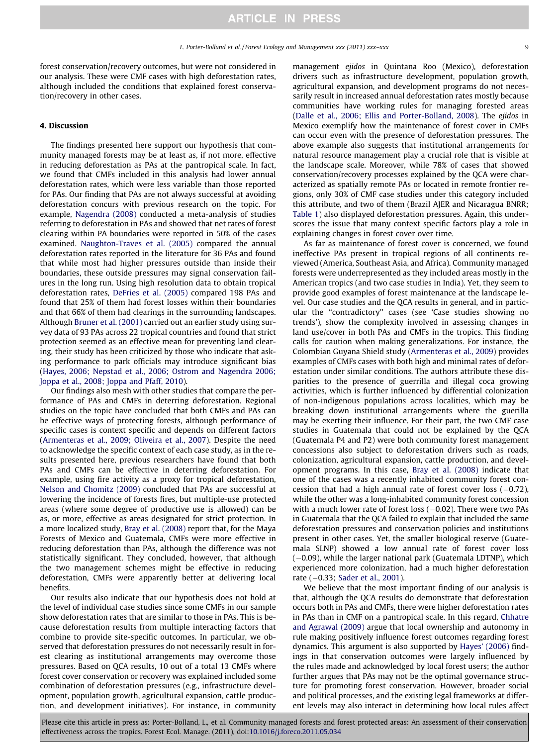forest conservation/recovery outcomes, but were not considered in our analysis. These were CMF cases with high deforestation rates, although included the conditions that explained forest conservation/recovery in other cases.

#### 4. Discussion

The findings presented here support our hypothesis that community managed forests may be at least as, if not more, effective in reducing deforestation as PAs at the pantropical scale. In fact, we found that CMFs included in this analysis had lower annual deforestation rates, which were less variable than those reported for PAs. Our finding that PAs are not always successful at avoiding deforestation concurs with previous research on the topic. For example, [Nagendra \(2008\)](#page-10-0) conducted a meta-analysis of studies referring to deforestation in PAs and showed that net rates of forest clearing within PA boundaries were reported in 50% of the cases examined. [Naughton-Traves et al. \(2005\)](#page-10-0) compared the annual deforestation rates reported in the literature for 36 PAs and found that while most had higher pressures outside than inside their boundaries, these outside pressures may signal conservation failures in the long run. Using high resolution data to obtain tropical deforestation rates, [DeFries et al. \(2005\)](#page-10-0) compared 198 PAs and found that 25% of them had forest losses within their boundaries and that 66% of them had clearings in the surrounding landscapes. Although [Bruner et al. \(2001\)](#page-10-0) carried out an earlier study using survey data of 93 PAs across 22 tropical countries and found that strict protection seemed as an effective mean for preventing land clearing, their study has been criticized by those who indicate that asking performance to park officials may introduce significant bias ([Hayes, 2006; Nepstad et al., 2006; Ostrom and Nagendra 2006;](#page-10-0) [Joppa et al., 2008; Joppa and Pfaff, 2010\)](#page-10-0).

Our findings also mesh with other studies that compare the performance of PAs and CMFs in deterring deforestation. Regional studies on the topic have concluded that both CMFs and PAs can be effective ways of protecting forests, although performance of specific cases is context specific and depends on different factors ([Armenteras et al., 2009; Oliveira et al., 2007](#page-9-0)). Despite the need to acknowledge the specific context of each case study, as in the results presented here, previous researchers have found that both PAs and CMFs can be effective in deterring deforestation. For example, using fire activity as a proxy for tropical deforestation, [Nelson and Chomitz \(2009\)](#page-10-0) concluded that PAs are successful at lowering the incidence of forests fires, but multiple-use protected areas (where some degree of productive use is allowed) can be as, or more, effective as areas designated for strict protection. In a more localized study, [Bray et al. \(2008\)](#page-10-0) report that, for the Maya Forests of Mexico and Guatemala, CMFs were more effective in reducing deforestation than PAs, although the difference was not statistically significant. They concluded, however, that although the two management schemes might be effective in reducing deforestation, CMFs were apparently better at delivering local benefits.

Our results also indicate that our hypothesis does not hold at the level of individual case studies since some CMFs in our sample show deforestation rates that are similar to those in PAs. This is because deforestation results from multiple interacting factors that combine to provide site-specific outcomes. In particular, we observed that deforestation pressures do not necessarily result in forest clearing as institutional arrangements may overcome those pressures. Based on QCA results, 10 out of a total 13 CMFs where forest cover conservation or recovery was explained included some combination of deforestation pressures (e.g., infrastructure development, population growth, agricultural expansion, cattle production, and development initiatives). For instance, in community management ejidos in Quintana Roo (Mexico), deforestation drivers such as infrastructure development, population growth, agricultural expansion, and development programs do not necessarily result in increased annual deforestation rates mostly because communities have working rules for managing forested areas ([Dalle et al., 2006; Ellis and Porter-Bolland, 2008\)](#page-10-0). The ejidos in Mexico exemplify how the maintenance of forest cover in CMFs can occur even with the presence of deforestation pressures. The above example also suggests that institutional arrangements for natural resource management play a crucial role that is visible at the landscape scale. Moreover, while 78% of cases that showed conservation/recovery processes explained by the QCA were characterized as spatially remote PAs or located in remote frontier regions, only 30% of CMF case studies under this category included this attribute, and two of them (Brazil AJER and Nicaragua BNRR; [Table 1](#page-3-0)) also displayed deforestation pressures. Again, this underscores the issue that many context specific factors play a role in explaining changes in forest cover over time.

As far as maintenance of forest cover is concerned, we found ineffective PAs present in tropical regions of all continents reviewed (America, Southeast Asia, and Africa). Community managed forests were underrepresented as they included areas mostly in the American tropics (and two case studies in India). Yet, they seem to provide good examples of forest maintenance at the landscape level. Our case studies and the QCA results in general, and in particular the ''contradictory'' cases (see 'Case studies showing no trends'), show the complexity involved in assessing changes in land use/cover in both PAs and CMFs in the tropics. This finding calls for caution when making generalizations. For instance, the Colombian Guyana Shield study [\(Armenteras et al., 2009\)](#page-9-0) provides examples of CMFs cases with both high and minimal rates of deforestation under similar conditions. The authors attribute these disparities to the presence of guerrilla and illegal coca growing activities, which is further influenced by differential colonization of non-indigenous populations across localities, which may be breaking down institutional arrangements where the guerilla may be exerting their influence. For their part, the two CMF case studies in Guatemala that could not be explained by the QCA (Guatemala P4 and P2) were both community forest management concessions also subject to deforestation drivers such as roads, colonization, agricultural expansion, cattle production, and development programs. In this case, [Bray et al. \(2008\)](#page-10-0) indicate that one of the cases was a recently inhabited community forest concession that had a high annual rate of forest cover loss  $(-0.72)$ , while the other was a long-inhabited community forest concession with a much lower rate of forest loss  $(-0.02)$ . There were two PAs in Guatemala that the QCA failed to explain that included the same deforestation pressures and conservation policies and institutions present in other cases. Yet, the smaller biological reserve (Guatemala SLNP) showed a low annual rate of forest cover loss (-0.09), while the larger national park (Guatemala LDTNP), which experienced more colonization, had a much higher deforestation rate (-0.33; [Sader et al., 2001\)](#page-11-0).

We believe that the most important finding of our analysis is that, although the QCA results do demonstrate that deforestation occurs both in PAs and CMFs, there were higher deforestation rates in PAs than in CMF on a pantropical scale. In this regard, [Chhatre](#page-10-0) [and Agrawal \(2009\)](#page-10-0) argue that local ownership and autonomy in rule making positively influence forest outcomes regarding forest dynamics. This argument is also supported by [Hayes' \(2006\)](#page-10-0) findings in that conservation outcomes were largely influenced by the rules made and acknowledged by local forest users; the author further argues that PAs may not be the optimal governance structure for promoting forest conservation. However, broader social and political processes, and the existing legal frameworks at different levels may also interact in determining how local rules affect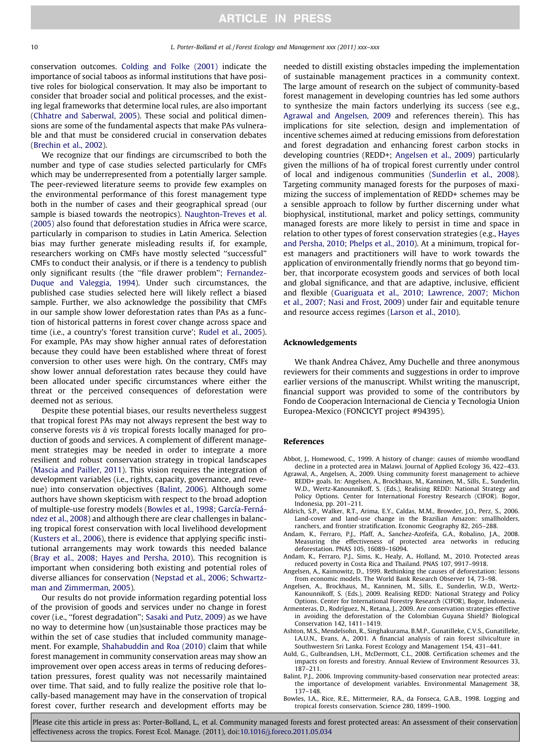<span id="page-9-0"></span>conservation outcomes. [Colding and Folke \(2001\)](#page-10-0) indicate the importance of social taboos as informal institutions that have positive roles for biological conservation. It may also be important to consider that broader social and political processes, and the existing legal frameworks that determine local rules, are also important ([Chhatre and Saberwal, 2005\)](#page-10-0). These social and political dimensions are some of the fundamental aspects that make PAs vulnerable and that must be considered crucial in conservation debates ([Brechin et al., 2002](#page-10-0)).

We recognize that our findings are circumscribed to both the number and type of case studies selected particularly for CMFs which may be underrepresented from a potentially larger sample. The peer-reviewed literature seems to provide few examples on the environmental performance of this forest management type both in the number of cases and their geographical spread (our sample is biased towards the neotropics). [Naughton-Treves et al.](#page-10-0) [\(2005\)](#page-10-0) also found that deforestation studies in Africa were scarce, particularly in comparison to studies in Latin America. Selection bias may further generate misleading results if, for example, researchers working on CMFs have mostly selected ''successful'' CMFs to conduct their analysis, or if there is a tendency to publish only significant results (the ''file drawer problem''; [Fernandez-](#page-10-0)[Duque and Valeggia, 1994](#page-10-0)). Under such circumstances, the published case studies selected here will likely reflect a biased sample. Further, we also acknowledge the possibility that CMFs in our sample show lower deforestation rates than PAs as a function of historical patterns in forest cover change across space and time (i.e., a country's 'forest transition curve'; [Rudel et al., 2005\)](#page-11-0). For example, PAs may show higher annual rates of deforestation because they could have been established where threat of forest conversion to other uses were high. On the contrary, CMFs may show lower annual deforestation rates because they could have been allocated under specific circumstances where either the threat or the perceived consequences of deforestation were deemed not as serious.

Despite these potential biases, our results nevertheless suggest that tropical forest PAs may not always represent the best way to conserve forests vis à vis tropical forests locally managed for production of goods and services. A complement of different management strategies may be needed in order to integrate a more resilient and robust conservation strategy in tropical landscapes ([Mascia and Pailler, 2011\)](#page-10-0). This vision requires the integration of development variables (i.e., rights, capacity, governance, and revenue) into conservation objectives (Balint, 2006). Although some authors have shown skepticism with respect to the broad adoption of multiple-use forestry models (Bowles et al., 1998; García-Fernández et al., 2008) and although there are clear challenges in balancing tropical forest conservation with local livelihood development ([Kusters et al., 2006\)](#page-10-0), there is evidence that applying specific institutional arrangements may work towards this needed balance ([Bray et al., 2008; Hayes and Persha, 2010](#page-10-0)). This recognition is important when considering both existing and potential roles of diverse alliances for conservation ([Nepstad et al., 2006; Schwartz](#page-11-0)[man and Zimmerman, 2005\)](#page-11-0).

Our results do not provide information regarding potential loss of the provision of goods and services under no change in forest cover (i.e., ''forest degradation''; [Sasaki and Putz, 2009\)](#page-11-0) as we have no way to determine how (un)sustainable those practices may be within the set of case studies that included community management. For example, [Shahabuddin and Roa \(2010\)](#page-11-0) claim that while forest management in community conservation areas may show an improvement over open access areas in terms of reducing deforestation pressures, forest quality was not necessarily maintained over time. That said, and to fully realize the positive role that locally-based management may have in the conservation of tropical forest cover, further research and development efforts may be

needed to distill existing obstacles impeding the implementation of sustainable management practices in a community context. The large amount of research on the subject of community-based forest management in developing countries has led some authors to synthesize the main factors underlying its success (see e.g., Agrawal and Angelsen, 2009 and references therein). This has implications for site selection, design and implementation of incentive schemes aimed at reducing emissions from deforestation and forest degradation and enhancing forest carbon stocks in developing countries (REDD+; Angelsen et al., 2009) particularly given the millions of ha of tropical forest currently under control of local and indigenous communities ([Sunderlin et al., 2008\)](#page-11-0). Targeting community managed forests for the purposes of maximizing the success of implementation of REDD+ schemes may be a sensible approach to follow by further discerning under what biophysical, institutional, market and policy settings, community managed forests are more likely to persist in time and space in relation to other types of forest conservation strategies (e.g., [Hayes](#page-10-0) [and Persha, 2010; Phelps et al., 2010\)](#page-10-0). At a minimum, tropical forest managers and practitioners will have to work towards the application of environmentally friendly norms that go beyond timber, that incorporate ecosystem goods and services of both local and global significance, and that are adaptive, inclusive, efficient and flexible ([Guariguata et al., 2010; Lawrence, 2007; Michon](#page-10-0) [et al., 2007; Nasi and Frost, 2009](#page-10-0)) under fair and equitable tenure and resource access regimes [\(Larson et al., 2010\)](#page-10-0).

#### Acknowledgements

We thank Andrea Chávez, Amy Duchelle and three anonymous reviewers for their comments and suggestions in order to improve earlier versions of the manuscript. Whilst writing the manuscript, financial support was provided to some of the contributors by Fondo de Cooperacion Internacional de Ciencia y Tecnologia Union Europea-Mexico (FONCICYT project #94395).

#### References

- Abbot, J., Homewood, C., 1999. A history of change: causes of miombo woodland decline in a protected area in Malawi. Journal of Applied Ecology 36, 422–433.
- Agrawal, A., Angelsen, A., 2009. Using community forest management to achieve REDD+ goals. In: Angelsen, A., Brockhaus, M., Kanninen, M., Sills, E., Sunderlin, W.D., Wertz-Kanounnikoff, S. (Eds.), Realising REDD: National Strategy and Policy Options. Center for International Forestry Research (CIFOR). Bogor, Indonesia, pp. 201–211.
- Aldrich, S.P., Walker, R.T., Arima, E.Y., Caldas, M.M., Browder, J.O., Perz, S., 2006. Land-cover and land-use change in the Brazilian Amazon: smallholders, ranchers, and frontier stratification. Economic Geography 82, 265–288.
- Andam, K., Ferraro, P.J., Pfaff, A., Sanchez-Azofeifa, G.A., Robalino, J.A., 2008. Measuring the effectiveness of protected area networks in reducing deforestation. PNAS 105, 16089–16094.
- Andam, K., Ferraro, P.J., Sims, K., Healy, A., Holland, M., 2010. Protected areas reduced poverty in Costa Rica and Thailand. PNAS 107, 9917–9918.
- Angelsen, A., Kaimowitz, D., 1999. Rethinking the causes of deforestation: lessons from economic models. The World Bank Research Observer 14, 73–98.
- Angelsen, A., Brockhaus, M., Kanninen, M., Sills, E., Sunderlin, W.D., Wertz-Kanounnikoff, S. (Eds.), 2009. Realising REDD: National Strategy and Policy Options. Center for International Forestry Research (CIFOR), Bogor, Indonesia.
- Armenteras, D., Rodríguez, N., Retana, J., 2009. Are conservation strategies effective in avoiding the deforestation of the Colombian Guyana Shield? Biological Conservation 142, 1411–1419.
- Ashton, M.S., Mendelsohn, R., Singhakurama, B.M.P., Gunatilleke, C.V.S., Gunatilleke, I.A.U.N., Evans, A., 2001. A financial analysis of rain forest silviculture in Southwestern Sri Lanka. Forest Ecology and Management 154, 431–441.
- Auld, G., Gulbrandsen, L.H., McDermott, C.L., 2008. Certification schemes and the impacts on forests and forestry. Annual Review of Environment Resources 33, 187–211.
- Balint, P.J., 2006. Improving community-based conservation near protected areas: the importance of development variables. Environmental Management 38, 137–148.
- Bowles, I.A., Rice, R.E., Mittermeier, R.A., da Fonseca, G.A.B., 1998. Logging and tropical forests conservation. Science 280, 1899–1900.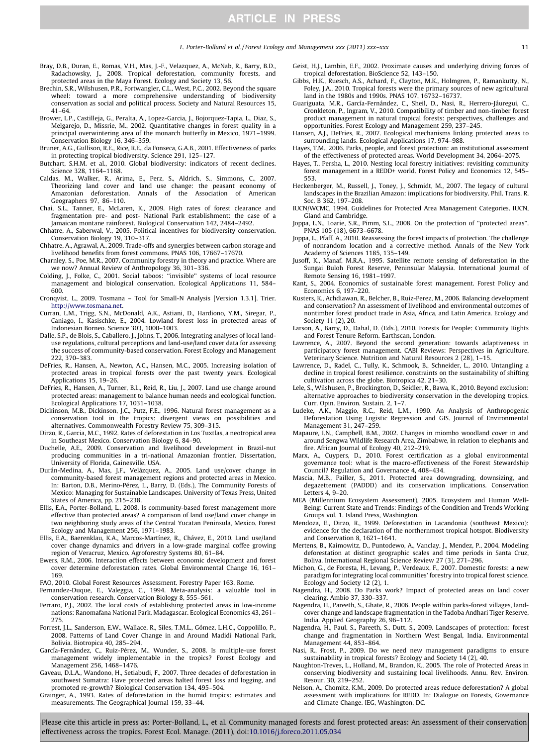- <span id="page-10-0"></span>Bray, D.B., Duran, E., Romas, V.H., Mas, J.-F., Velazquez, A., McNab, R., Barry, B.D., Radachowsky, J., 2008. Tropical deforestation, community forests, and protected areas in the Maya Forest. Ecology and Society 13, 56.
- Brechin, S.R., Wilshusen, P.R., Fortwangler, C.L., West, P.C., 2002. Beyond the square wheel: toward a more comprehensive understanding of biodiversity conservation as social and political process. Society and Natural Resources 15, 41–64.
- Brower, L.P., Castilleja, G., Peralta, A., Lopez-Garcia, J., Bojorquez-Tapia, L., Diaz, S., Melgarejo, D., Missrie, M., 2002. Quantitative changes in forest quality in a principal overwintering area of the monarch butterfly in Mexico, 1971–1999. Conservation Biology 16, 346–359.
- Bruner, A.G., Gullison, R.E., Rice, R.E., da Fonseca, G.A.B., 2001. Effectiveness of parks in protecting tropical biodiversity. Science 291, 125–127.
- Butchart, S.H.M. et al., 2010. Global biodiversity: indicators of recent declines. Science 328, 1164–1168.
- Caldas, M., Walker, R., Arima, E., Perz, S., Aldrich, S., Simmons, C., 2007. Theorizing land cover and land use change: the peasant economy of Amazonian deforestation. Annals of the Association of American Geographers 97, 86–110.
- Chai, S.L., Tanner, E., McLaren, K., 2009. High rates of forest clearance and fragmentation pre- and post- National Park establishment: the case of a Jamaican montane rainforest. Biological Conservation 142, 2484–2492.
- Chhatre, A., Saberwal, V., 2005. Political incentives for biodiversity conservation. Conservation Biology 19, 310–317.
- Chhatre, A., Agrawal, A., 2009. Trade-offs and synergies between carbon storage and livelihood benefits from forest commons. PNAS 106, 17667–17670.
- Charnley, S., Poe, M.R., 2007. Community forestry in theory and practice. Where are we now? Annual Review of Anthropology 36, 301–336.
- Colding, J., Folke, C., 2001. Social taboos: ''invisible'' systems of local resource management and biological conservation. Ecological Applications 11, 584– 600.
- Cronqvist, L., 2009. Tosmana Tool for Small-N Analysis [Version 1.3.1]. Trier. [http://www.tosmana.net.](http://www.tosmana.net)
- Curran, L.M., Trigg, S.N., McDonald, A.K., Astiani, D., Hardiono, Y.M., Siregar, P., Caniago, I., Kasischke, E., 2004. Lowland forest loss in protected areas of Indonesian Borneo. Science 303, 1000–1003.
- Dalle, S.P., de Blois, S., Caballero, J., Johns, T., 2006. Integrating analyses of local landuse regulations, cultural perceptions and land-use/land cover data for assessing the success of community-based conservation. Forest Ecology and Management 222, 370–383.
- DeFries, R., Hansen, A., Newton, A.C., Hansen, M.C., 2005. Increasing isolation of protected areas in tropical forests over the past twenty years. Ecological Applications 15, 19–26.
- DeFries, R., Hansen, A., Turner, B.L., Reid, R., Liu, J., 2007. Land use change around protected areas: management to balance human needs and ecological function. Ecological Applications 17, 1031–1038.
- Dickinson, M.B., Dickinson, J.C., Putz, F.E., 1996. Natural forest management as a conservation tool in the tropics: divergent views on possibilities and alternatives. Commonwealth Forestry Review 75, 309–315.
- Dirzo, R., Garcia, M.C., 1992. Rates of deforestation in Los Tuxtlas, a neotropical area in Southeast Mexico. Conservation Biology 6, 84–90.
- Duchelle, A.E., 2009. Conservation and livelihood development in Brazil-nut producing communities in a tri-national Amazonian frontier. Dissertation, University of Florida, Gainesville, USA.
- Durán-Medina, A., Mas, J.F., Velázquez, A., 2005. Land use/cover change in community-based forest management regions and protected areas in Mexico. In: Barton, D.B., Merino-Pérez, L., Barry, D. (Eds.), The Community Forests of Mexico: Managing for Sustainable Landscapes. University of Texas Press, United States of America, pp. 215–238.
- Ellis, E.A., Porter-Bolland, L., 2008. Is community-based forest management more effective than protected areas? A comparison of land use/land cover change in two neighboring study areas of the Central Yucatan Peninsula, Mexico. Forest Ecology and Management 256, 1971–1983.
- Ellis, E.A., Baerenklau, K.A., Marcos-Martínez, R., Chávez, E., 2010. Land use/land cover change dynamics and drivers in a low-grade marginal coffee growing region of Veracruz, Mexico. Agroforestry Systems 80, 61–84.
- Ewers, R.M., 2006. Interaction effects between economic development and forest cover determine deforestation rates. Global Environmental Change 16, 161– 169.
- 
- FAO, 2010. Global Forest Resources Assessment. Forestry Paper 163. Rome. Fernandez-Duque, E., Valeggia, C., 1994. Meta-analysis: a valuable tool in conservation research. Conservation Biology 8, 555–561.
- Ferraro, P.J., 2002. The local costs of establishing protected areas in low-income nations: Ranomafana National Park, Madagascar. Ecological Economics 43, 261– 275.
- Forrest, J.L., Sanderson, E.W., Wallace, R., Siles, T.M.L., Gómez, L.H.C., Coppolillo, P., 2008. Patterns of Land Cover Change in and Around Madidi National Park, Bolivia. Biotropica 40, 285–294.
- García-Fernández, C., Ruiz-Pérez, M., Wunder, S., 2008. Is multiple-use forest management widely implementable in the tropics? Forest Ecology and Management 256, 1468–1476.
- Gaveau, D.L.A., Wandono, H., Setiabudi, F., 2007. Three decades of deforestation in southwest Sumatra: Have protected areas halted forest loss and logging, and promoted re-growth? Biological Conservation 134, 495–504.
- Grainger, A., 1993. Rates of deforestation in the humid tropics: estimates and measurements. The Geographical Journal 159, 33–44.
- Geist, H.J., Lambin, E.F., 2002. Proximate causes and underlying driving forces of tropical deforestation. BioScience 52, 143–150.
- Gibbs, H.K., Ruesch, A.S., Achard, F., Clayton, M.K., Holmgren, P., Ramankutty, N., Foley, J.A., 2010. Tropical forests were the primary sources of new agricultural land in the 1980s and 1990s. PNAS 107, 16732–16737.
- Guariguata, M.R., García-Fernández, C., Sheil, D., Nasi, R., Herrero-Jáuregui, C., Cronkleton, P., Ingram, V., 2010. Compatibility of timber and non-timber forest product management in natural tropical forests: perspectives, challenges and opportunities. Forest Ecology and Management 259, 237–245.
- Hansen, A.J., DeFries, R., 2007. Ecological mechanisms linking protected areas to surrounding lands. Ecological Applications 17, 974–988.
- Hayes, T.M., 2006. Parks, people, and forest protection: an institutional assessment of the effectiveness of protected areas. World Development 34, 2064–2075.
- Hayes, T., Persha, L., 2010. Nesting local forestry initiatives: revisiting community forest management in a REDD+ world. Forest Policy and Economics 12, 545– 553.
- Heckenberger, M., Russell, J., Toney, J., Schmidt, M., 2007. The legacy of cultural landscapes in the Brazilian Amazon: implications for biodiversity. Phil. Trans. R. Soc. B 362, 197–208.
- IUCN/WCMC, 1994. Guidelines for Protected Area Management Categories. IUCN, Gland and Cambridge.
- Joppa, L.N., Loarie, S.R., Pimm, S.L., 2008. On the protection of ''protected areas''. PNAS 105 (18), 6673–6678.
- Joppa, L., Pfaff, A., 2010. Reassessing the forest impacts of protection. The challenge of nonrandom location and a corrective method. Annals of the New York Academy of Sciences 1185, 135–149.
- Jusoff, K., Manaf, M.R.A., 1995. Satellite remote sensing of deforestation in the Sungai Buloh Forest Reserve, Peninsular Malaysia. International Journal of Remote Sensing 16, 1981–1997.
- Kant, S., 2004. Economics of sustainable forest management. Forest Policy and Economics 6, 197–220.
- Kusters, K., Achdiawan, R., Belcher, B., Ruiz-Perez, M., 2006. Balancing development and conservation? An assessment of livelihood and environmental outcomes of nontimber forest product trade in Asia, Africa, and Latin America. Ecology and Society 11 (2), 20.
- Larson, A., Barry, D., Dahal, D. (Eds.), 2010. Forests for People: Community Rights and Forest Tenure Reform. Earthscan, London.
- Lawrence, A., 2007. Beyond the second generation: towards adaptiveness in participatory forest management. CABI Reviews: Perspectives in Agriculture, Veterinary Science. Nutrition and Natural Resources 2 (28), 1–15.
- Lawrence, D., Radel, C., Tully, K., Schmook, B., Schneider, L., 2010. Untangling a decline in tropical forest resilience. constraints on the sustainability of shifting cultivation across the globe. Biotropica 42, 21–30.
- Lele, S., Wilshusen, P., Brockington, D., Seidler, R., Bawa, K., 2010. Beyond exclusion: alternative approaches to biodiversity conservation in the developing tropics. Curr. Opin. Environ. Sustain. 2, 1–7.
- Ludeke, A.K., Maggio, R.C., Reid, L.M., 1990. An Analysis of Anthropogenic Deforestation Using Logistic Regression and GIS. Journal of Environmental Management 31, 247–259.
- Mapaure, I.N., Campbell, B.M., 2002. Changes in miombo woodland cover in and around Sengwa Wildlife Research Area, Zimbabwe, in relation to elephants and fire. African Journal of Ecology 40, 212–219.
- Marx, A., Cuypers, D., 2010. Forest certification as a global environmental governance tool: what is the macro-effectiveness of the Forest Stewardship Council? Regulation and Governance 4, 408–434.
- Mascia, M.B., Pailler, S., 2011. Protected area downgrading, downsizing, and degazettement (PADDD) and its conservation implications. Conservation Letters 4, 9–20.
- MEA (Millennium Ecosystem Assessment), 2005. Ecosystem and Human Well-Being: Current State and Trends: Findings of the Condition and Trends Working Groups vol. 1. Island Press, Washington.
- Mendoza, E., Dirzo, R., 1999. Deforestation in Lacandonia (southeast Mexico): evidence for the declaration of the northernmost tropical hotspot. Biodiversity and Conservation 8, 1621–1641.
- Mertens, B., Kaimowitz, D., Puntodewo, A., Vanclay, J., Mendez, P., 2004. Modeling deforestation at distinct geographic scales and time periods in Santa Cruz, Boliva. International Regional Science Review 27 (3), 271–296.
- Michon, G., de Foresta, H., Levang, P., Verdeaux, F., 2007. Domestic forests: a new paradigm for integrating local communities' forestry into tropical forest science. Ecology and Society 12 (2), 1.
- Nagendra, H., 2008. Do Parks work? Impact of protected areas on land cover clearing. Ambio 37, 330–337.
- Nagendra, H., Pareeth, S., Ghate, R., 2006. People within parks-forest villages, landcover change and landscape fragmentation in the Tadoba Andhari Tiger Reserve, India. Applied Geography 26, 96–112.
- Nagendra, H., Paul, S., Pareeth, S., Dutt, S., 2009. Landscapes of protection: forest change and fragmentation in Northern West Bengal, India. Environmental Management 44, 853–864.
- Nasi, R., Frost, P., 2009. Do we need new management paradigms to ensure sustainability in tropical forests? Ecology and Society 14 (2), 40.
- Naughton-Treves, L., Holland, M., Brandon, K., 2005. The role of Protected Areas in conserving biodiversity and sustaining local livelihoods. Annu. Rev. Environ. Resour. 30, 219–252.
- Nelson, A., Chomitz, K.M., 2009. Do protected areas reduce deforestation? A global assessment with implications for REDD. In: Dialogue on Forests, Governance and Climate Change. IEG, Washington, DC.